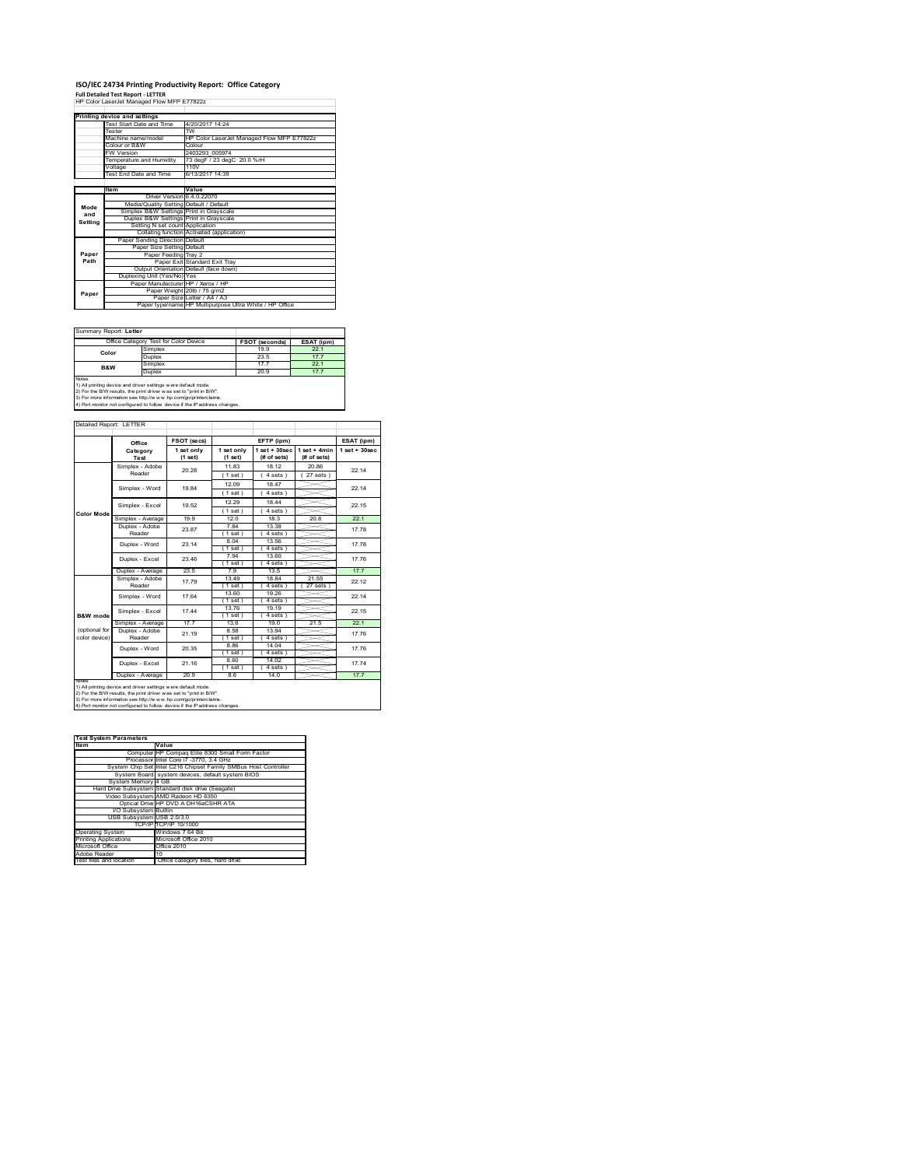# **ISO/IEC 24734 Printing Productivity Report: Office Category Full Detailed Test Report ‐ LETTER** HP Color LaserJet Managed Flow MFP E77822z

|         | Printing device and settings            |                                                         |
|---------|-----------------------------------------|---------------------------------------------------------|
|         | Test Start Date and Time                | 4/20/2017 14:24                                         |
|         | Tester                                  | $\overline{rw}$                                         |
|         | Machine name/model                      | HP Color LaserJet Managed Flow MFP E77822z              |
|         | Colour or B&W                           | Colour                                                  |
|         | <b>FW Version</b>                       | 2403293 005974                                          |
|         | Temperature and Humidity                | 73 degF / 23 degC 20.0 %rH                              |
|         | Voltage                                 | 110V                                                    |
|         | Test End Date and Time                  | 6/13/2017 14:39                                         |
|         |                                         |                                                         |
|         | Item                                    | Value                                                   |
|         | Driver Version 6.4.0.22070              |                                                         |
| Mode    | Media/Quality Setting Default / Default |                                                         |
| and     | Simplex B&W Settings Print in Grayscale |                                                         |
| Setting | Duplex B&W Settings Print in Grayscale  |                                                         |
|         | Setting N set count Application         |                                                         |
|         |                                         | Collating function Activated (application)              |
|         | Paper Sending Direction Default         |                                                         |
|         | Paper Size Setting Default              |                                                         |
| Paper   | Paper Feeding Tray 2                    |                                                         |
| Path    |                                         | Paper Exit Standard Exit Tray                           |
|         |                                         | Output Orientation Default (face down)                  |
|         | Duplexing Unit (Yes/No) Yes             |                                                         |
|         | Paper Manufacturer HP / Xerox / HP      |                                                         |
| Paper   |                                         | Paper Weight 20lb / 75 g/m2                             |
|         |                                         | Paper Size Letter / A4 / A3                             |
|         |                                         | Paper type/name HP Multipurpose Ultra White / HP Office |

| Summary Report: Letter                                                                                                                                                                                                                                                                         |                                       |                |            |  |
|------------------------------------------------------------------------------------------------------------------------------------------------------------------------------------------------------------------------------------------------------------------------------------------------|---------------------------------------|----------------|------------|--|
|                                                                                                                                                                                                                                                                                                | Office Category Test for Color Device | FSOT (seconds) | ESAT (ipm) |  |
| Color                                                                                                                                                                                                                                                                                          | Simplex                               | 19.9           | 22.1       |  |
|                                                                                                                                                                                                                                                                                                | Duplex                                | 23.5           | 17.7       |  |
| <b>B&amp;W</b>                                                                                                                                                                                                                                                                                 | Simplex                               | 177            | 22.1       |  |
|                                                                                                                                                                                                                                                                                                | Duplex                                | 20.9           |            |  |
| Notes<br>1) All printing device and driver settings were default mode.<br>2) For the B/W results, the print driver was set to "print in B/W".<br>3) For more information see http://www.hp.com/go/printerclaims.<br>4) Port monitor not configured to follow device if the IP address changes. |                                       |                |            |  |

|                | Office                    | FSOT (secs)           |                       | EFTP (ipm)                     |                               | ESAT (ipm)      |
|----------------|---------------------------|-----------------------|-----------------------|--------------------------------|-------------------------------|-----------------|
|                | Category<br>Test          | 1 set only<br>(1 set) | 1 set only<br>(1 set) | $1$ set + 30sec<br>(# of sets) | $1$ set + 4min<br>(# of sets) | $1$ set + 30sec |
|                | Simplex - Adobe           | 20.28                 | 1183                  | 18 12                          | 20.86                         | 22 14           |
|                | Reader                    |                       | $(1$ set)             | 4 sets 1                       | 27 sets )                     |                 |
|                | Simplex - Word            | 1984                  | 12.09                 | 18.47                          |                               | 22 14           |
|                |                           |                       | $(1$ set)             | 4 sets                         |                               |                 |
|                | Simplex - Excel           | 19.52                 | 12.29                 | 18 44                          |                               | 22 15           |
| Color Mode     |                           |                       | $(1$ set)             | $4 sets$ )                     |                               |                 |
|                | Simplex - Average         | 19.9                  | 120                   | 18.3                           | 20.8                          | 22.1            |
|                | Duplex - Adobe            | 23.87                 | 784                   | 13.38                          |                               | 1778            |
|                | Reader                    |                       | $(1$ set)             | $4 sets$ )                     |                               |                 |
|                | Duplex - Word             | 23 14                 | 8.04                  | 13.56                          |                               | 17 78           |
|                |                           |                       | 1 set 1               | $4 sets$ )                     |                               |                 |
|                | Duplex - Excel            | 23.46                 | 7.94                  | 13.60                          |                               | 17 76           |
|                |                           |                       | $1$ set)              | $4 sets$ )                     |                               |                 |
|                | Duplex - Average          | 23.5                  | 79                    | 13.5                           |                               | 17.7            |
|                | Simplex - Adobe<br>Reader | 1779                  | 13.49<br>(1 set)      | 18.84<br>4 sets                | 21.55<br>27 sets              | 22 12           |
|                |                           |                       | 13.60                 | 19.26                          |                               |                 |
|                | Simplex - Word            | 1764                  | $(1$ set)             | 4 sets                         |                               | 22 14           |
|                | Simplex - Excel           | 1744                  | 1376                  | 19 19                          |                               | 22.15           |
| B&W mode       |                           |                       | $1$ set)              | 4 sets                         |                               |                 |
|                | Simplex - Average         | 17.7                  | 13.6                  | 19.0                           | 21.5                          | 22.1            |
| (optional for  | Duplex - Adobe            | 21 19                 | 8.58                  | 13.94                          |                               | 17 76           |
| color device)  | Reader                    |                       | 1 set)                | 4 sets 1                       |                               |                 |
|                | Duplex - Word             | 20.35                 | 8.86                  | 14.04                          |                               | 17.76           |
|                |                           |                       | $(1$ set)             | 4 sets                         |                               |                 |
|                | Duplex - Excel            | 21 16                 | 8.60                  | 14.02                          |                               | 1774            |
|                |                           |                       | $(1$ set)             | 4 sets 1                       |                               |                 |
| <b>INFORMS</b> | Duplex - Average          | 20.9                  | 8.6                   | 14.0                           |                               | 177             |

2) For the B/W results, the print driver w as set to "print in B/W".<br>3) For more information see http://w w w.hp.com/go/printerclaims.<br>4) Port monitor not configured to follow device if the IP address changes.

| <b>Test System Parameters</b> |                                                                 |  |  |
|-------------------------------|-----------------------------------------------------------------|--|--|
| <b>Item</b>                   | Value                                                           |  |  |
|                               | Computer IHP Compag Elite 8300 Small Form Factor                |  |  |
|                               | Processor Intel Core i7 -3770, 3.4 GHz                          |  |  |
|                               | System Chip Set Intel C216 Chipset Family SMBus Host Controller |  |  |
|                               | System Board system devices, default system BIOS                |  |  |
| System Memory 4 GB            |                                                                 |  |  |
|                               | Hard Drive Subsystem Standard disk drive (Seagate)              |  |  |
|                               | Video Subsystem AMD Radeon HD 6350                              |  |  |
|                               | Optical Drive HP DVD A DH16aCSHR ATA                            |  |  |
| I/O Subsystem Builtin         |                                                                 |  |  |
| USB Subsystem USB 2.0/3.0     |                                                                 |  |  |
|                               | TCP/IPTTCP/IP 10/1000                                           |  |  |
| <b>Operating System</b>       | Windows 7 64 Bit                                                |  |  |
| <b>Printing Applications</b>  | Microsoft Office 2010                                           |  |  |
| Microsoft Office              | Office 2010                                                     |  |  |
| Adobe Reader                  | 10                                                              |  |  |
| Test files and location       | Office category files, hard drive                               |  |  |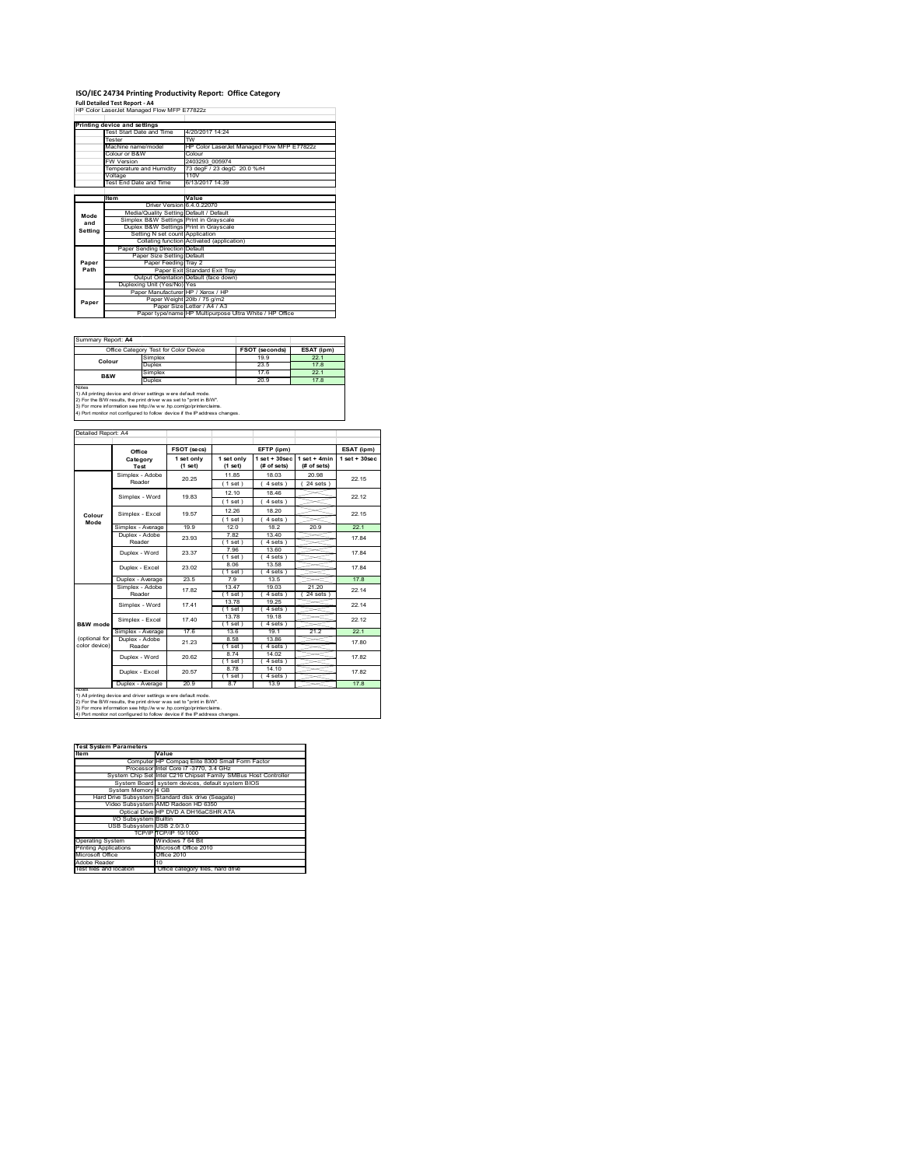# **ISO/IEC 24734 Printing Productivity Report: Office Category Full Detailed Test Report ‐ A4** HP Color LaserJet Managed Flow MFP E77822z

|         | Printing device and settings            |                                                         |  |  |
|---------|-----------------------------------------|---------------------------------------------------------|--|--|
|         | Test Start Date and Time                | 4/20/2017 14:24                                         |  |  |
|         | Tester                                  | <b>TW</b>                                               |  |  |
|         | Machine name/model                      | HP Color LaserJet Managed Flow MFP E77822z              |  |  |
|         | Colour or B&W                           | Colour                                                  |  |  |
|         | <b>FW Version</b>                       | 2403293 005974                                          |  |  |
|         | Temperature and Humidity                | 73 degF / 23 degC 20.0 %rH                              |  |  |
|         | Voltage                                 | 110V                                                    |  |  |
|         | Test End Date and Time                  | 6/13/2017 14:39                                         |  |  |
|         |                                         |                                                         |  |  |
|         | ltem                                    | Value                                                   |  |  |
|         | Driver Version 6.4.0.22070              |                                                         |  |  |
| Mode    | Media/Quality Setting Default / Default |                                                         |  |  |
| and     | Simplex B&W Settings Print in Grayscale |                                                         |  |  |
| Settina | Duplex B&W Settings Print in Grayscale  |                                                         |  |  |
|         | Setting N set count Application         |                                                         |  |  |
|         |                                         | Collating function Activated (application)              |  |  |
|         | Paper Sending Direction Default         |                                                         |  |  |
|         | Paper Size Setting Default              |                                                         |  |  |
| Paper   | Paper Feeding Tray 2                    |                                                         |  |  |
| Path    |                                         | Paper Exit Standard Exit Trav                           |  |  |
|         |                                         | Output Orientation Default (face down)                  |  |  |
|         | Duplexing Unit (Yes/No) Yes             |                                                         |  |  |
|         | Paper Manufacturer HP / Xerox / HP      |                                                         |  |  |
| Paper   |                                         | Paper Weight 20lb / 75 g/m2                             |  |  |
|         |                                         | Paper Size Letter / A4 / A3                             |  |  |
|         |                                         | Paper type/name HP Multipurpose Ultra White / HP Office |  |  |

#### Summary Report: **A4**

| Summary Report: A4                                                                                                                                                                                                   |                                       |                |            |  |
|----------------------------------------------------------------------------------------------------------------------------------------------------------------------------------------------------------------------|---------------------------------------|----------------|------------|--|
|                                                                                                                                                                                                                      | Office Category Test for Color Device | FSOT (seconds) | ESAT (ipm) |  |
| Colour                                                                                                                                                                                                               | Simplex                               | 19.9           | 22.1       |  |
|                                                                                                                                                                                                                      | <b>Duplex</b>                         | 23.5           | 17.8       |  |
| B&W                                                                                                                                                                                                                  | Simplex                               | 17.6           | 22.1       |  |
|                                                                                                                                                                                                                      | Duplex                                | 20.9           | 17.8       |  |
| Notes<br>1) All printing device and driver settings were default mode.                                                                                                                                               |                                       |                |            |  |
| 2) For the B/W results, the print driver was set to "print in B/W".<br>3) For more information see http://www.hp.com/go/printerclaims.<br>4) Port monitor not configured to follow device if the IP address changes. |                                       |                |            |  |

 $\overline{\phantom{0}}$ 

|               | Office                    | FSOT (secs)           |                         | EFTP (ipm)                     |                               | ESAT (ipm)         |
|---------------|---------------------------|-----------------------|-------------------------|--------------------------------|-------------------------------|--------------------|
|               | Category<br>Test          | 1 set only<br>(1 set) | 1 set only<br>$(1$ set) | $1$ set + 30sec<br>(# of sets) | $1$ set + 4min<br>(# of sets) | $1$ set $+30$ sec. |
|               | Simplex - Adobe<br>Reader | 20.25                 | 1185                    | 18 03                          | 20.98                         | 22 15              |
|               |                           |                       | (1 set)                 | 4 sets)                        | 24 sets 1                     |                    |
|               | Simplex - Word            | 19.83                 | 12 10                   | 18.46                          |                               | 22.12              |
|               |                           |                       | $(1$ set)               | 4 sets)                        |                               |                    |
| Colour        | Simplex - Excel           | 19.57                 | 12.26                   | 18.20                          |                               | 22 15              |
| Mode          |                           |                       | (1 set)                 | 4 sets)                        |                               |                    |
|               | Simplex - Average         | 19.9                  | 120                     | 18.2                           | 20.9                          | 22.1               |
|               | Duplex - Adobe            | 23.93                 | 782                     | 13 40                          |                               | 1784               |
|               | Reader                    |                       | $1$ set $)$             | 4 sets)                        |                               |                    |
|               | Duplex - Word             | 23.37                 | 7.96                    | 13.60                          |                               | 1784               |
|               |                           |                       | $1$ set $)$<br>8.06     | 4 sets 1                       |                               |                    |
|               | Duplex - Excel            | 23.02                 | (1 set)                 | 13.58<br>4 sets                |                               | 1784               |
|               | Duplex - Average          | 23.5                  | 79                      | 13.5                           |                               | 178                |
|               | Simplex - Adobe           |                       | 13.47                   | 19 03                          | 21 20                         |                    |
|               | Reader                    | 1782                  | $(1$ set)               | 4 sets 1                       | $24$ sets $)$                 | 22 14              |
|               | Simplex - Word            |                       | 13.78                   | 19.25                          |                               | 22 14              |
|               |                           | 1741                  | $(1$ set)               | 4 sets 1                       |                               |                    |
|               | Simplex - Excel           | 1740                  | 13.78                   | 19.18                          |                               | 22 12              |
| B&W mode      |                           |                       | $(1$ set)               | 4 sets                         |                               |                    |
|               | Simplex - Average         | 176                   | 136                     | 19 1                           | 212                           | 221                |
| (optional for | Duplex - Adobe            | 21 23                 | 8.58                    | 13.86                          |                               | 17.80              |
| color device) | Reader                    |                       | $Test$ )                | 4 sets                         |                               |                    |
|               | Duplex - Word             | 20.62                 | 874                     | 14 02                          |                               | 1782               |
|               |                           |                       | $(1$ set)               | 4 sets)                        |                               |                    |
|               | Duplex - Excel            | 20.57                 | 8.78<br>$(1$ set)       | 14.10<br>4 sets)               |                               | 1782               |
|               | Duplex - Average          | 20.9                  | 87                      | 13.9                           |                               | 178                |
| Notes         |                           |                       |                         |                                |                               |                    |

2) For the B/W results, the print driver w as set to "print in B/W".<br>3) For more information see http://w w w .hp.com/go/printerclaims.<br>4) Port monitor not configured to follow device if the IP address changes.

| <b>Test System Parameters</b> |                                                                 |  |  |
|-------------------------------|-----------------------------------------------------------------|--|--|
| Item                          | Value                                                           |  |  |
|                               | Computer HP Compag Elite 8300 Small Form Factor                 |  |  |
|                               | Processor Intel Core i7 -3770, 3.4 GHz                          |  |  |
|                               | System Chip Set Intel C216 Chipset Family SMBus Host Controller |  |  |
|                               | System Board system devices, default system BIOS                |  |  |
| System Memory 4 GB            |                                                                 |  |  |
|                               | Hard Drive Subsystem Standard disk drive (Seagate)              |  |  |
|                               | Video Subsystem AMD Radeon HD 6350                              |  |  |
|                               | Optical Drive HP DVD A DH16aCSHR ATA                            |  |  |
| <b>I/O Subsystem Builtin</b>  |                                                                 |  |  |
| USB Subsystem USB 2.0/3.0     |                                                                 |  |  |
|                               | TCP/IP TCP/IP 10/1000                                           |  |  |
| <b>Operating System</b>       | Windows 7 64 Bit                                                |  |  |
| <b>Printing Applications</b>  | Microsoft Office 2010                                           |  |  |
| Microsoft Office              | Office 2010                                                     |  |  |
| Adobe Reader                  | 10                                                              |  |  |
| Test files and location       | Office category files, hard drive                               |  |  |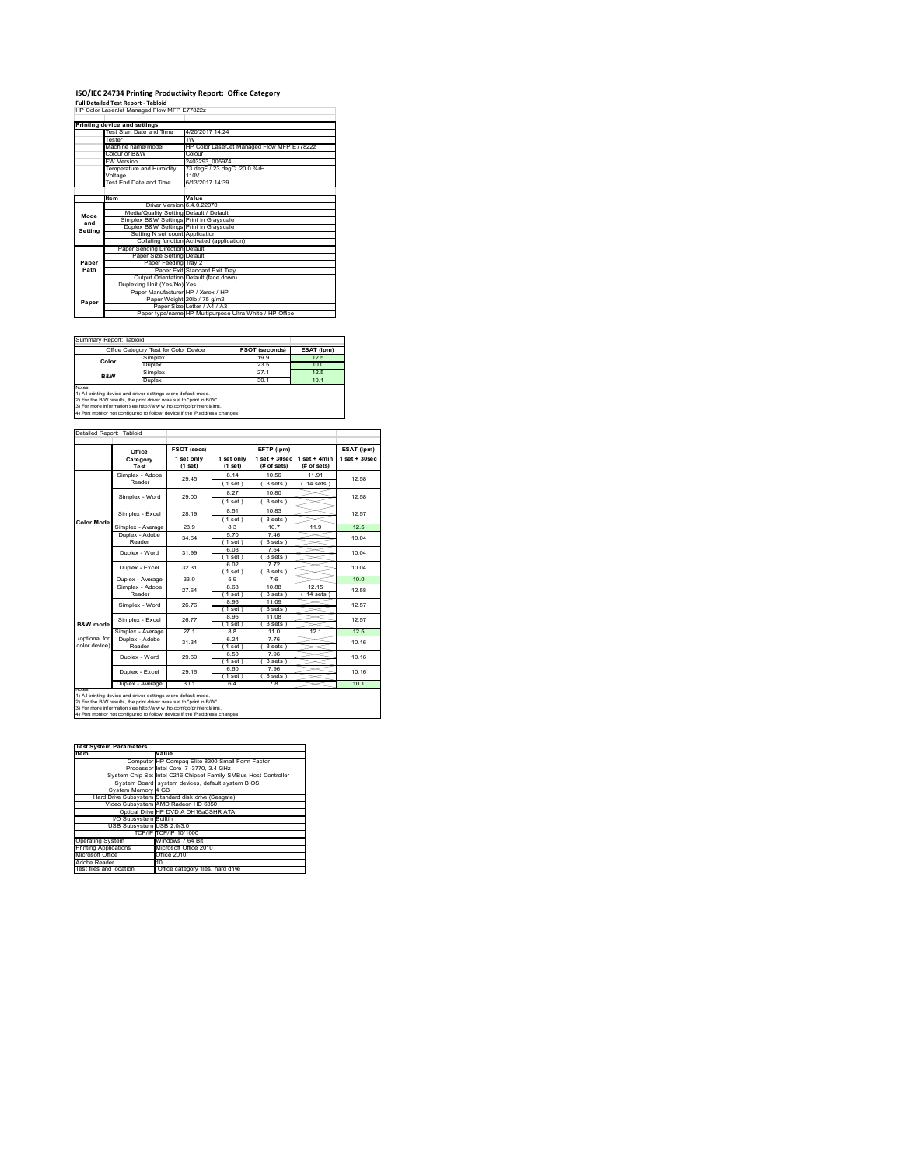# **ISO/IEC 24734 Printing Productivity Report: Office Category Full Detailed Test Report ‐ Tabloid** HP Color LaserJet Managed Flow MFP E77822z

|         | Printing device and settings            |                                                         |  |  |
|---------|-----------------------------------------|---------------------------------------------------------|--|--|
|         | Test Start Date and Time                | 4/20/2017 14:24                                         |  |  |
|         | Tester                                  | $\overline{rw}$                                         |  |  |
|         | Machine name/model                      | HP Color LaserJet Managed Flow MFP E77822z              |  |  |
|         | Colour or B&W                           | Colour                                                  |  |  |
|         | <b>FW Version</b>                       | 2403293 005974                                          |  |  |
|         | Temperature and Humidity                | 73 degF / 23 degC 20.0 %rH                              |  |  |
|         | Voltage                                 | 110V                                                    |  |  |
|         | Test End Date and Time                  | 6/13/2017 14:39                                         |  |  |
|         |                                         |                                                         |  |  |
|         | ltem                                    | Value                                                   |  |  |
|         | Driver Version 6.4.0.22070              |                                                         |  |  |
| Mode    | Media/Quality Setting Default / Default |                                                         |  |  |
| and     | Simplex B&W Settings Print in Grayscale |                                                         |  |  |
| Settina | Duplex B&W Settings Print in Grayscale  |                                                         |  |  |
|         | Setting N set count Application         |                                                         |  |  |
|         |                                         | Collating function Activated (application)              |  |  |
|         | Paper Sending Direction Default         |                                                         |  |  |
|         | Paper Size Setting Default              |                                                         |  |  |
| Paper   | Paper Feeding Tray 2                    |                                                         |  |  |
| Path    |                                         | Paper Exit Standard Exit Tray                           |  |  |
|         |                                         | Output Orientation Default (face down)                  |  |  |
|         | Duplexing Unit (Yes/No) Yes             |                                                         |  |  |
|         | Paper Manufacturer HP / Xerox / HP      |                                                         |  |  |
| Paper   |                                         | Paper Weight 20lb / 75 g/m2                             |  |  |
|         |                                         | Paper Size Letter / A4 / A3                             |  |  |
|         |                                         | Paper type/name HP Multipurpose Ultra White / HP Office |  |  |

### Summary Report: Tabloid

| Summary Report: Tabloid                                                                                                                                                                                                                                                                                |                                       |                |            |  |  |
|--------------------------------------------------------------------------------------------------------------------------------------------------------------------------------------------------------------------------------------------------------------------------------------------------------|---------------------------------------|----------------|------------|--|--|
|                                                                                                                                                                                                                                                                                                        | Office Category Test for Color Device | FSOT (seconds) | ESAT (ipm) |  |  |
| Color                                                                                                                                                                                                                                                                                                  | Simplex                               | 199            | 12.5       |  |  |
|                                                                                                                                                                                                                                                                                                        | <b>Duplex</b>                         | 23.5           | 10.0       |  |  |
| <b>B&amp;W</b>                                                                                                                                                                                                                                                                                         | Simplex                               | 27 1           | 12.5       |  |  |
|                                                                                                                                                                                                                                                                                                        | Duplex                                | 30.1           | 10.1       |  |  |
| <b>Notes</b><br>1) All printing device and driver settings w ere default mode.<br>2) For the B/W results, the print driver was set to "print in B/W".<br>3) For more information see http://www.hp.com/go/printerclaims.<br>4) Port monitor not configured to follow device if the IP address changes. |                                       |                |            |  |  |

 $\overline{\phantom{0}}$ 

|                                | Office                                                         | FSOT (secs)                     |                       | EFTP (ipm)                     |                               | ESAT (ipm)              |
|--------------------------------|----------------------------------------------------------------|---------------------------------|-----------------------|--------------------------------|-------------------------------|-------------------------|
|                                | Category<br>Test                                               | 1 set only<br>(1 set)           | 1 set only<br>(1 set) | $1$ set + 30sec<br>(# of sets) | $1$ set + 4min<br>(# of sets) | $1$ set + $30$ sec      |
|                                | Simplex - Adobe                                                | 29.45                           | 8 14                  | 10.56                          | 11 91                         | 12.58                   |
|                                | Reader                                                         |                                 | (1 set)               | 3 sets                         | $14$ sets $)$                 |                         |
|                                | Simplex - Word                                                 | 29.00                           | 8.27                  | 10.80                          |                               | 12.58                   |
|                                |                                                                |                                 | $(1$ set)             | 3 sets                         |                               |                         |
|                                | Simplex - Excel                                                | 28 19                           | 8.51                  | 10.83                          |                               | 12.57                   |
| <b>Color Mode</b>              |                                                                |                                 | $1$ set $)$           | $3 sets$ )                     |                               |                         |
|                                | Simplex - Average                                              | 28.9                            | 8.3                   | 107                            | 11.9                          | 12.5                    |
|                                | Duplex - Adobe                                                 | 34.64                           | 570                   | 746                            |                               | 10.04                   |
|                                | Reader                                                         |                                 | $1$ set $)$           | 3 sets)                        |                               |                         |
|                                | Duplex - Word                                                  | 31.99                           | 6.08                  | 7.64                           |                               | 10.04                   |
|                                |                                                                |                                 | $1$ set $)$           | $3 sets$ )                     |                               |                         |
|                                | Duplex - Excel                                                 | 32 31                           | 6.02                  | 772                            |                               | 10.04                   |
|                                |                                                                |                                 | $1$ set)              | $3 sets$ )                     |                               |                         |
|                                | Duplex - Average                                               | 33.0                            | 59                    | 76                             |                               | 10 <sub>0</sub>         |
|                                | Simplex - Adobe<br>Reader<br>Simplex - Word<br>Simplex - Excel | 27 64<br>26.76<br>26.77<br>27.1 | 8.68                  | 10.88                          | 12.15                         | 12.58<br>12.57<br>12.57 |
|                                |                                                                |                                 | $(1$ set)             | 3 sets                         | 14 sets                       |                         |
|                                |                                                                |                                 | 8.96                  | 11.09                          |                               |                         |
|                                |                                                                |                                 | $(1$ set)             | 3 sets)                        |                               |                         |
|                                |                                                                |                                 | 8.96                  | 11.08                          |                               |                         |
| B&W mode                       |                                                                |                                 | $1$ set $)$           | 3 sets)<br>110                 |                               | 12.5                    |
|                                | Simplex - Average<br>Duplex - Adobe                            |                                 | 88<br>6 24            | 7.76                           | 12.1                          |                         |
| (optional for<br>color device) | Reader                                                         | 31.34                           |                       |                                |                               | 10.16                   |
|                                |                                                                |                                 | $1$ set $)$<br>6.50   | 3 sets)<br>796                 |                               |                         |
|                                | Duplex - Word                                                  | 29.69                           | (1 set)               | $3 sets$ )                     |                               | 10 16                   |
|                                |                                                                |                                 | 6.60                  | 796                            |                               |                         |
|                                | Duplex - Excel                                                 | 29 16                           | $1$ set $)$           | 3 sets)                        |                               | 10 16                   |
|                                | Duplex - Average                                               | 30.1                            | 6.4                   | 7.8                            |                               | 10.1                    |
| Notes                          |                                                                |                                 |                       |                                |                               |                         |

2) For the B/W results, the print driver w as set to "print in B/W".<br>3) For more information see http://w w w .hp.com/go/printerclaims.<br>4) Port monitor not configured to follow device if the IP address changes.

| <b>Test System Parameters</b> |                                                                 |  |  |  |
|-------------------------------|-----------------------------------------------------------------|--|--|--|
| Item                          | Value                                                           |  |  |  |
|                               | Computer HP Compag Elite 8300 Small Form Factor                 |  |  |  |
|                               | Processor Intel Core i7 -3770, 3.4 GHz                          |  |  |  |
|                               | System Chip Set Intel C216 Chipset Family SMBus Host Controller |  |  |  |
|                               | System Board system devices, default system BIOS                |  |  |  |
| System Memory 4 GB            |                                                                 |  |  |  |
|                               | Hard Drive Subsystem Standard disk drive (Seagate)              |  |  |  |
|                               | Video Subsystem AMD Radeon HD 6350                              |  |  |  |
|                               | Optical Drive HP DVD A DH16aCSHR ATA                            |  |  |  |
| I/O Subsystem Builtin         |                                                                 |  |  |  |
| USB Subsystem USB 2.0/3.0     |                                                                 |  |  |  |
|                               | TCP/IP TCP/IP 10/1000                                           |  |  |  |
| <b>Operating System</b>       | Windows 7 64 Bit                                                |  |  |  |
| <b>Printing Applications</b>  | Microsoft Office 2010                                           |  |  |  |
| Microsoft Office              | Office 2010                                                     |  |  |  |
| Adobe Reader                  | 10                                                              |  |  |  |
| Test files and location       | Office category files, hard drive                               |  |  |  |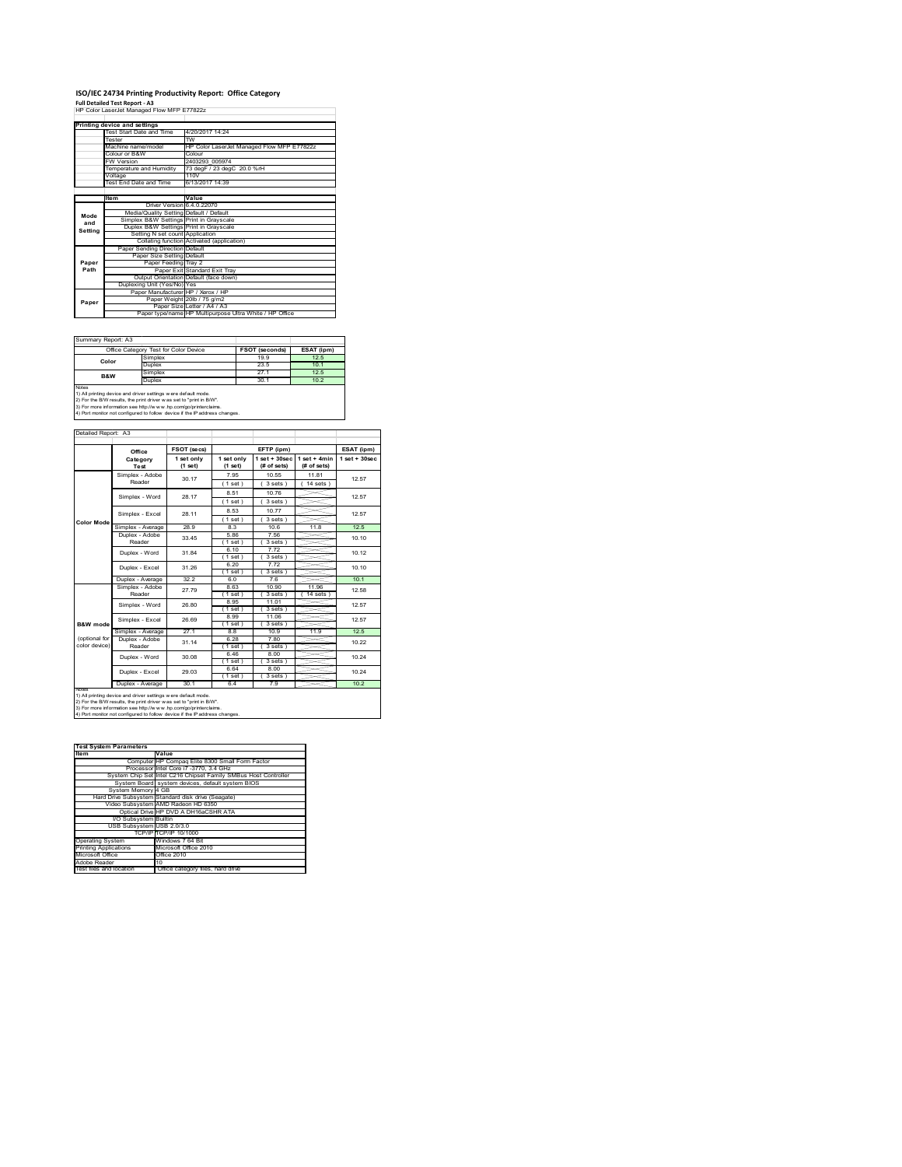# **ISO/IEC 24734 Printing Productivity Report: Office Category Full Detailed Test Report ‐ A3** HP Color LaserJet Managed Flow MFP E77822z

|         | Printing device and settings            |                                                         |
|---------|-----------------------------------------|---------------------------------------------------------|
|         | Test Start Date and Time                | 4/20/2017 14:24                                         |
|         | Tester                                  | $\overline{rw}$                                         |
|         | Machine name/model                      | HP Color LaserJet Managed Flow MFP E77822z              |
|         | Colour or B&W                           | Colour                                                  |
|         | <b>FW Version</b>                       | 2403293 005974                                          |
|         | Temperature and Humidity                | 73 degF / 23 degC 20.0 %rH                              |
|         | Voltage                                 | 110V                                                    |
|         | Test End Date and Time                  | 6/13/2017 14:39                                         |
|         |                                         |                                                         |
|         | ltem                                    | Value                                                   |
|         | Driver Version 6.4.0.22070              |                                                         |
| Mode    | Media/Quality Setting Default / Default |                                                         |
| and     | Simplex B&W Settings Print in Grayscale |                                                         |
| Settina | Duplex B&W Settings Print in Grayscale  |                                                         |
|         | Setting N set count Application         |                                                         |
|         |                                         | Collating function Activated (application)              |
|         | Paper Sending Direction Default         |                                                         |
|         | Paper Size Setting Default              |                                                         |
| Paper   | Paper Feeding Tray 2                    |                                                         |
| Path    |                                         | Paper Exit Standard Exit Tray                           |
|         |                                         | Output Orientation Default (face down)                  |
|         | Duplexing Unit (Yes/No) Yes             |                                                         |
|         | Paper Manufacturer HP / Xerox / HP      |                                                         |
| Paper   |                                         | Paper Weight 20lb / 75 g/m2                             |
|         |                                         | Paper Size Letter / A4 / A3                             |
|         |                                         | Paper type/name HP Multipurpose Ultra White / HP Office |

#### Summary Report: A3

|                                                                                                                                               | Office Category Test for Color Device | FSOT (seconds) | ESAT (ipm)      |  |  |
|-----------------------------------------------------------------------------------------------------------------------------------------------|---------------------------------------|----------------|-----------------|--|--|
| Color                                                                                                                                         | Simplex                               | 19 9           | 12.5            |  |  |
|                                                                                                                                               | Dunlex                                | 23.5           | 10 <sub>1</sub> |  |  |
| <b>B&amp;W</b>                                                                                                                                | Simplex                               | 27 1           | 12.5            |  |  |
|                                                                                                                                               | Duplex                                | 30.1           | 10.2            |  |  |
| Notes<br>1) All printing device and driver settings were default mode.<br>2) For the B/W results, the print driver was set to "print in B/W". |                                       |                |                 |  |  |

 $\overline{\phantom{0}}$ 

2) For the B/W results, the print driver w as set to "print in B/W".<br>3) For more information see http://w w w .hp.com/go/printerclaims.<br>4) Port monitor not configured to follow device if the IP address changes.

|                     | Office                              | FSOT (secs)             |                         | EFTP (ipm)                     |                               | ESAT (ipm)       |
|---------------------|-------------------------------------|-------------------------|-------------------------|--------------------------------|-------------------------------|------------------|
|                     | Category<br>Test                    | 1 set only<br>$(1$ set) | 1 set only<br>$(1$ set) | $1$ set + 30sec<br>(# of sets) | $1$ set + 4min<br>(# of sets) | $1 set + 30 sec$ |
|                     | Simplex - Adobe                     | 30.17                   | 795                     | 10.55                          | 1181                          | 12.57            |
|                     | Reader                              |                         | (1 set)                 | 3 sets )                       | $14$ sets $)$                 |                  |
|                     | Simplex - Word                      | 28.17                   | 8.51                    | 1076                           |                               | 12.57            |
|                     |                                     |                         | $(1$ set)               | 3 sets                         |                               |                  |
|                     |                                     | 28 11                   | 8.53                    | 1077                           |                               | 12.57            |
| <b>Color Mode</b>   | Simplex - Excel                     |                         | $1$ set)                | 3 sets)                        |                               |                  |
|                     | Simplex - Average                   | 28.9                    | 8.3                     | 10.6                           | 11.8                          | 12.5             |
|                     | Duplex - Adobe                      | 33.45                   | 5.86                    | 7.56                           |                               | 10.10            |
|                     | Reader                              |                         | 1 set 1                 | 3 sets                         |                               |                  |
|                     | Duplex - Word                       | 31.84                   | 6.10                    | 772                            |                               | 10.12            |
|                     |                                     |                         | 1 set 1                 | 3 sets                         |                               |                  |
|                     | Duplex - Excel                      | 31 26                   | 6.20                    | 7.72                           |                               | 10 10            |
|                     |                                     | 32.2                    | 1 set 1<br>60           | 3 sets<br>76                   |                               | 10.1             |
|                     | Duplex - Average<br>Simplex - Adobe |                         | 8.63                    | 10.90                          | 11 96                         |                  |
|                     | Reader                              | 2779                    | $(1$ set)               | 3 sets                         | 14 sets                       | 12.58            |
|                     |                                     |                         | 8.95                    | 11.01                          |                               |                  |
|                     | Simplex - Word                      | 26.80                   | $1$ set)                | 3 sets )                       |                               | 12.57            |
|                     |                                     |                         | 8.99                    | 11.06                          |                               |                  |
| <b>B&amp;W</b> mode | Simplex - Excel                     | 26.69                   | 1 set 1                 | 3 sets                         |                               | 12.57            |
|                     | Simplex - Average                   | 271                     | 88                      | 10.9                           | 119                           | 12.5             |
| (optional for       | Duplex - Adobe                      | 31 14                   | 6.28                    | 7.80                           |                               | 10.22            |
| color device)       | Reader                              |                         | 1 set 1                 | 3 sets                         |                               |                  |
|                     | Duplex - Word                       | 30.08                   | 646                     | 8.00                           |                               | 10 24            |
|                     |                                     |                         | $1$ set)                | $3 sets$ )                     |                               |                  |
|                     | Duplex - Excel                      | 29.03                   | 664                     | 8.00                           |                               | 10.24            |
|                     |                                     |                         | $1$ set                 | 3 sets                         |                               |                  |
| Notes               | Duplex - Average                    | 30.1                    | 6.4                     | 7.9                            |                               | 10.2             |

2) For the B/W results, the print driver w as set to "print in B/W".<br>3) For more information see http://w w w .hp.com/go/printerclaims.<br>4) Port monitor not configured to follow device if the IP address changes.

| <b>Test System Parameters</b> |                                                                 |  |  |  |  |
|-------------------------------|-----------------------------------------------------------------|--|--|--|--|
| Item                          | Value                                                           |  |  |  |  |
|                               | Computer HP Compag Elite 8300 Small Form Factor                 |  |  |  |  |
|                               | Processor Intel Core i7 -3770, 3.4 GHz                          |  |  |  |  |
|                               | System Chip Set Intel C216 Chipset Family SMBus Host Controller |  |  |  |  |
|                               | System Board system devices, default system BIOS                |  |  |  |  |
| System Memory 4 GB            |                                                                 |  |  |  |  |
|                               | Hard Drive Subsystem Standard disk drive (Seagate)              |  |  |  |  |
|                               | Video Subsystem AMD Radeon HD 6350                              |  |  |  |  |
|                               | Optical Drive HP DVD A DH16aCSHR ATA                            |  |  |  |  |
| I/O Subsystem Builtin         |                                                                 |  |  |  |  |
| USB Subsystem USB 2.0/3.0     |                                                                 |  |  |  |  |
|                               | TCP/IP TCP/IP 10/1000                                           |  |  |  |  |
| <b>Operating System</b>       | Windows 7 64 Bit                                                |  |  |  |  |
| <b>Printing Applications</b>  | Microsoft Office 2010                                           |  |  |  |  |
| Microsoft Office              | Office 2010                                                     |  |  |  |  |
| Adobe Reader                  | 10                                                              |  |  |  |  |
| Test files and location       | Office category files, hard drive                               |  |  |  |  |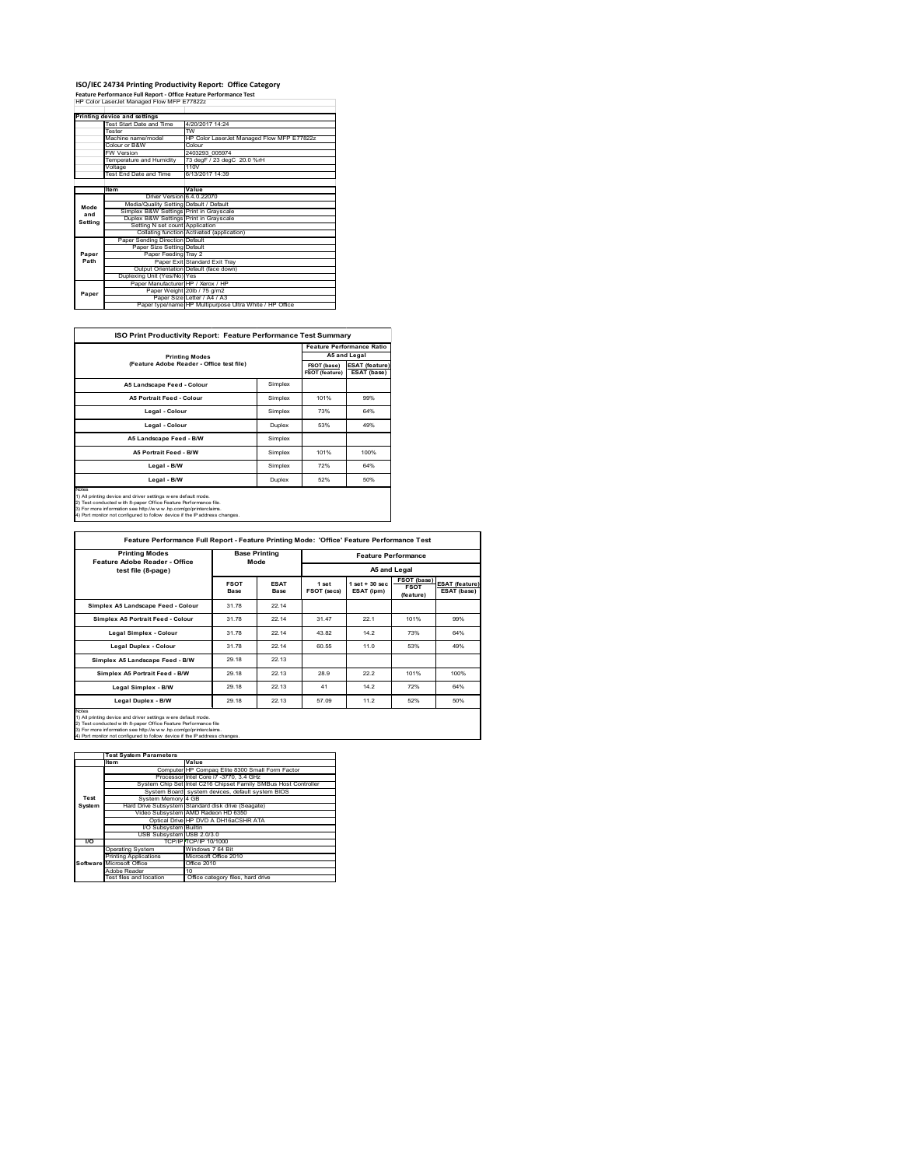#### **ISO/IEC 24734 Printing Productivity Report: Office Category Feature Performance Full Report ‐ Office Feature Performance Test** HP Color LaserJet Managed Flow MFP E77822z

|         | Printing device and settings            |                                                         |
|---------|-----------------------------------------|---------------------------------------------------------|
|         | Test Start Date and Time                | 4/20/2017 14:24                                         |
|         | Tester                                  | $\overline{rw}$                                         |
|         | Machine name/model                      | HP Color LaserJet Managed Flow MFP E77822z              |
|         | Colour or B&W                           | Colour                                                  |
|         | <b>FW Version</b>                       | 2403293 005974                                          |
|         | Temperature and Humidity                | 73 degF / 23 degC 20.0 %rH                              |
|         | Voltage                                 | 110V                                                    |
|         | Test End Date and Time                  | 6/13/2017 14:39                                         |
|         |                                         |                                                         |
|         | Item                                    | Value                                                   |
|         | Driver Version 6.4.0.22070              |                                                         |
| Mode    | Media/Quality Setting Default / Default |                                                         |
| and     | Simplex B&W Settings Print in Grayscale |                                                         |
| Setting | Duplex B&W Settings Print in Grayscale  |                                                         |
|         | Setting N set count Application         |                                                         |
|         |                                         | Collating function Activated (application)              |
|         | Paper Sending Direction Default         |                                                         |
|         | Paper Size Setting Default              |                                                         |
| Paper   | Paper Feeding Tray 2                    |                                                         |
| Path    |                                         | Paper Exit Standard Exit Trav                           |
|         |                                         | Output Orientation Default (face down)                  |
|         | Duplexing Unit (Yes/No) Yes             |                                                         |
|         | Paper Manufacturer HP / Xerox / HP      |                                                         |
| Paper   |                                         | Paper Weight 20lb / 75 g/m2                             |
|         |                                         | Paper Size Letter / A4 / A3                             |
|         |                                         | Paper type/name HP Multipurpose Ultra White / HP Office |

 $\overline{\phantom{a}}$ 

|                                           |         |                               | <b>Feature Performance Ratio</b>     |  |
|-------------------------------------------|---------|-------------------------------|--------------------------------------|--|
| <b>Printing Modes</b>                     |         | A5 and Legal                  |                                      |  |
| (Feature Adobe Reader - Office test file) |         | FSOT (base)<br>FSOT (feature) | <b>ESAT (feature)</b><br>ESAT (base) |  |
| A5 Landscape Feed - Colour                | Simplex |                               |                                      |  |
| A5 Portrait Feed - Colour                 | Simplex | 101%                          | 99%                                  |  |
| Legal - Colour                            | Simplex | 73%                           | 64%                                  |  |
| Legal - Colour                            | Duplex  | 53%                           | 49%                                  |  |
| A5 Landscape Feed - B/W                   | Simplex |                               |                                      |  |
| A5 Portrait Feed - B/W                    | Simplex | 101%                          | 100%                                 |  |
| Legal - B/W                               | Simplex | 72%                           | 64%                                  |  |
| Legal - B/W                               | Duplex  | 52%                           | 50%                                  |  |

Notes<br>1) All printing device and driver settings were default mode.<br>2) Test conducted with 8-paper Office Feature Performance file.<br>3) For more information see http://www.hp.com/go/printerclaims.<br>4) Por monitor not configu

**FSOT Base ESAT Base 1 set FSOT (secs) 1 set + 30 sec ESAT (ipm) FSOT (base) FSOT (feature) ESAT (feature) ESAT (base) Simplex A5 Landscape Feed - Colour 31.78 22.14 Simplex A5 Portrait Feed - Colour 31.78 22.14 31.47 22.1 101% 99% Legal Simplex - Colour** 31.78 22.14 43.82 14.2 73% 64% **Legal Duplex - Colour** 31.78 22.14 60.55 11.0 53% 49% **Simplex A5 Landscape Feed - B/W** 29.18 22.13 **Simplex A5 Portrait Feed - B/W** 29.18 22.13 28.9 22.2 101% 100% **Legal Simplex - B/W** 29.18 22.13 41 14.2 72% 64% **Legal Duplex - B/W** 29.18 22.13 57.09 11.2 52% 50% **Feature Performance Full Report - Feature Printing Mode: 'Office' Feature Performance Test Feature Performance A5 and Legal Base Printing Mode Printing Modes Feature Adobe Reader - Office test file (8-page)**

Notes 1) All printing device and driver settings w ere default mode. 2) Test conducted w ith 8-paper Office Feature Performance file 3) For more information see http://w w w .hp.com/go/printerclaims.

monitor not configured to follow device if the IP address

|               | <b>Test System Parameters</b> |                                                                 |
|---------------|-------------------------------|-----------------------------------------------------------------|
|               | Item                          | Value                                                           |
|               |                               | Computer HP Compag Elite 8300 Small Form Factor                 |
|               |                               | Processor Intel Core i7 -3770, 3.4 GHz                          |
|               |                               | System Chip Set Intel C216 Chipset Family SMBus Host Controller |
|               |                               | System Board system devices, default system BIOS                |
| Test          | System Memory 4 GB            |                                                                 |
| <b>System</b> |                               | Hard Drive Subsystem Standard disk drive (Seagate)              |
|               |                               | Video Subsystem AMD Radeon HD 6350                              |
|               |                               | Optical Drive HP DVD A DH16aCSHR ATA                            |
|               | I/O Subsystem Builtin         |                                                                 |
|               | USB Subsystem USB 2.0/3.0     |                                                                 |
| 170           |                               | TCP/IPTTCP/IP 10/1000                                           |
|               | <b>Operating System</b>       | Windows 7 64 Bit                                                |
|               | <b>Printing Applications</b>  | Microsoft Office 2010                                           |
|               | Software Microsoft Office     | Office 2010                                                     |
|               | Adobe Reader                  | 10                                                              |
|               | Test files and location       | Office category files, hard drive                               |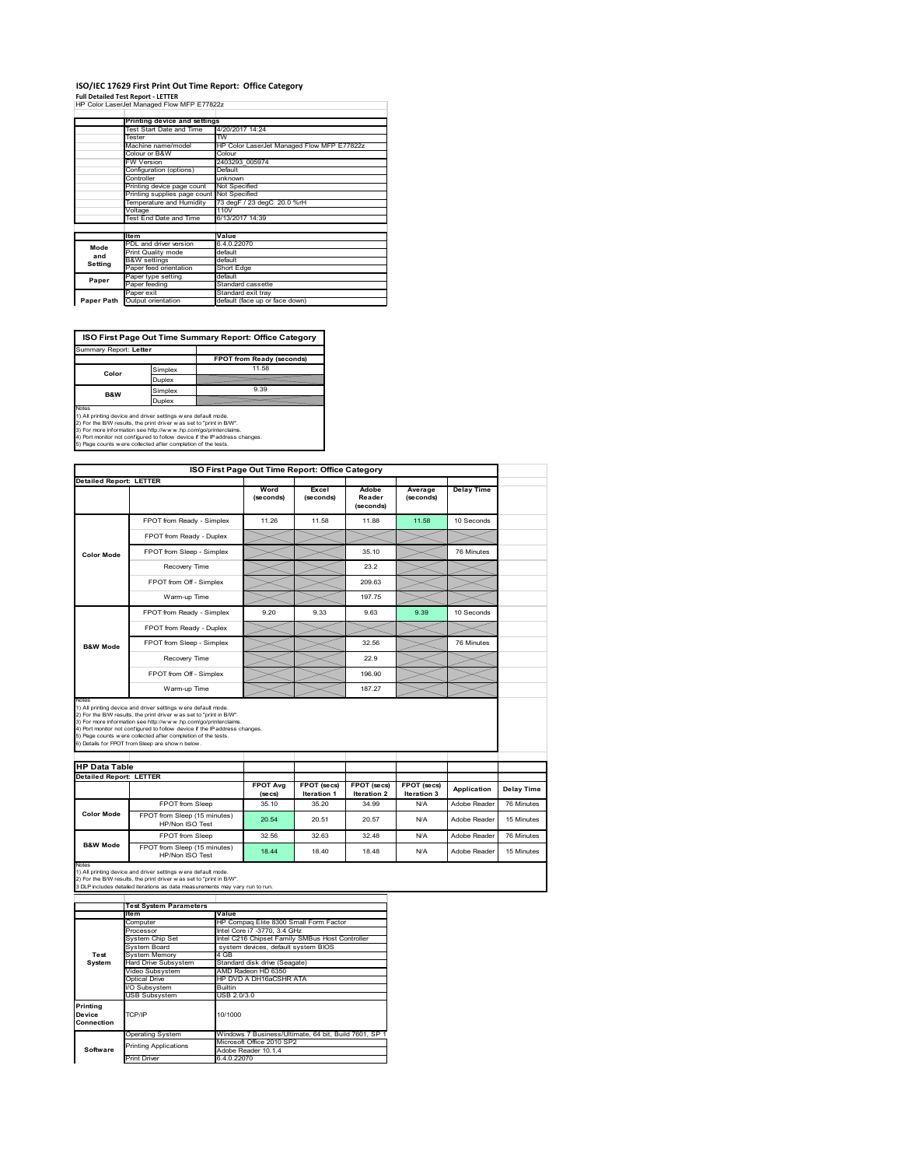# **ISO/IEC 17629 First Print Out Time Report: Office Category**

**Full Detailed Test Report ‐ LETTER** HP Color LaserJet Managed Flow MFP E77822z

|            | Printing device and settings               |                                            |
|------------|--------------------------------------------|--------------------------------------------|
|            | Test Start Date and Time                   | 4/20/2017 14:24                            |
|            | Tester                                     | TW                                         |
|            | Machine name/model                         | HP Color LaserJet Managed Flow MFP E77822z |
|            | Colour or B&W                              | Colour                                     |
|            | <b>FW Version</b>                          | 2403293 005974                             |
|            | Configuration (options)                    | Default                                    |
|            | Controller                                 | unknown                                    |
|            | Printing device page count                 | Not Specified                              |
|            | Printing supplies page count Not Specified |                                            |
|            | Temperature and Humidity                   | 73 degF / 23 degC 20.0 %rH                 |
|            | Voltage                                    | 110V                                       |
|            | Test End Date and Time                     | 6/13/2017 14:39                            |
|            |                                            |                                            |
|            | <b>Item</b>                                | Value                                      |
| Mode       | PDL and driver version                     | 6.4.0.22070                                |
| and        | Print Quality mode                         | default                                    |
| Setting    | <b>B&amp;W</b> settings                    | default                                    |
|            | Paper feed orientation                     | Short Edge                                 |
| Paper      | Paper type setting                         | default                                    |
|            | Paper feeding                              | Standard cassette                          |
|            | Paper exit                                 | Standard exit tray                         |
| Paper Path | Output orientation                         | default (face up or face down)             |

ń

**ISO First Page Out Time Summary Report: Office Category**

| FPOT from Ready (seconds) |
|---------------------------|
| 11.58                     |
|                           |
| 9.39                      |
|                           |
|                           |

Notes<br>1) All printing device and driver settings were default mode.<br>2) For the BW results, the print driver was set to "print in BW".<br>3) For more information see http://www.hp.com/golprinterclaims.<br>4) Port montor not confi

|                                |                                                                                                                                                                                                                                                                                                                                           | ISO First Page Out Time Report: Office Category |                                   |                              |                            |                   |
|--------------------------------|-------------------------------------------------------------------------------------------------------------------------------------------------------------------------------------------------------------------------------------------------------------------------------------------------------------------------------------------|-------------------------------------------------|-----------------------------------|------------------------------|----------------------------|-------------------|
| <b>Detailed Report: LETTER</b> |                                                                                                                                                                                                                                                                                                                                           |                                                 |                                   |                              |                            |                   |
|                                |                                                                                                                                                                                                                                                                                                                                           | Word<br>(seconds)                               | Excel<br>(seconds)                | Adobe<br>Reader<br>(seconds) | Average<br>(seconds)       | <b>Delay Time</b> |
|                                | FPOT from Ready - Simplex                                                                                                                                                                                                                                                                                                                 | 11.26                                           | 11.58                             | 11.88                        | 11.58                      | 10 Seconds        |
|                                | FPOT from Ready - Duplex                                                                                                                                                                                                                                                                                                                  |                                                 |                                   |                              |                            |                   |
| <b>Color Mode</b>              | FPOT from Sleep - Simplex                                                                                                                                                                                                                                                                                                                 |                                                 |                                   | 35 10                        |                            | 76 Minutes        |
|                                | Recovery Time                                                                                                                                                                                                                                                                                                                             |                                                 |                                   | 23.2                         |                            |                   |
|                                | FPOT from Off - Simplex                                                                                                                                                                                                                                                                                                                   |                                                 |                                   | 209.63                       |                            |                   |
|                                | Warm-up Time                                                                                                                                                                                                                                                                                                                              |                                                 |                                   | 197.75                       |                            |                   |
|                                | FPOT from Ready - Simplex                                                                                                                                                                                                                                                                                                                 | 9.20                                            | 9.33                              | 9.63                         | 9.39                       | 10 Seconds        |
|                                | FPOT from Ready - Duplex                                                                                                                                                                                                                                                                                                                  |                                                 |                                   |                              |                            |                   |
| <b>B&amp;W Mode</b>            | FPOT from Sleep - Simplex                                                                                                                                                                                                                                                                                                                 |                                                 |                                   | 32.56                        |                            | 76 Minutes        |
|                                |                                                                                                                                                                                                                                                                                                                                           |                                                 |                                   |                              |                            |                   |
|                                | Recovery Time                                                                                                                                                                                                                                                                                                                             |                                                 |                                   | 22.9                         |                            |                   |
|                                | FPOT from Off - Simplex                                                                                                                                                                                                                                                                                                                   |                                                 |                                   | 196.90                       |                            |                   |
| Notes                          | Warm-up Time<br>1) All printing device and driver settings w ere default mode.                                                                                                                                                                                                                                                            |                                                 |                                   | 187.27                       |                            |                   |
| <b>HP Data Table</b>           | 2) For the B/W results, the print driver was set to "print in B/W".<br>3) For more information see http://www.hp.com/go/printerclaims.<br>4) Port monitor not configured to follow device if the IP address changes.<br>5) Page counts w ere collected after completion of the tests.<br>6) Details for FPOT from Sleep are show n below. |                                                 |                                   |                              |                            |                   |
| <b>Detailed Report: LETTER</b> |                                                                                                                                                                                                                                                                                                                                           |                                                 |                                   |                              |                            |                   |
|                                |                                                                                                                                                                                                                                                                                                                                           | <b>FPOT Avg</b><br>(se cs)                      | <b>FPOT</b> (secs)<br>Iteration 1 | FPOT (secs)<br>Iteration 2   | FPOT (secs)<br>Iteration 3 | Application       |
|                                | FPOT from Sleep                                                                                                                                                                                                                                                                                                                           | 35.10                                           | 35.20                             | 34.99                        | N/A                        | Adobe Reader      |
| <b>Color Mode</b>              | FPOT from Sleep (15 minutes)<br>HP/Non ISO Test                                                                                                                                                                                                                                                                                           | 20.54                                           | 20.51                             | 20.57                        | N/A                        | Adobe Reader      |
| <b>B&amp;W Mode</b>            | FPOT from Sleep                                                                                                                                                                                                                                                                                                                           | 32.56                                           | 32.63                             | 32.48                        | N/A                        | Adobe Reader      |

1) All printing device and driver settings w ere default mode.<br>2) For the B/W results, the print driver w as set to "print in B/W".<br>3 DLP includes detailed iterations as data measurements may vary run to run.

|            | <b>Test System Parameters</b> |                                                       |  |  |
|------------|-------------------------------|-------------------------------------------------------|--|--|
|            | <b>Item</b>                   | Value                                                 |  |  |
|            | Computer                      | HP Compag Elite 8300 Small Form Factor                |  |  |
|            | Processor                     | Intel Core i7 -3770, 3.4 GHz                          |  |  |
|            | System Chip Set               | Intel C216 Chipset Family SMBus Host Controller       |  |  |
|            | System Board                  | system devices, default system BIOS                   |  |  |
| Test       | <b>System Memory</b>          | 4 GB                                                  |  |  |
| System     | Hard Drive Subsystem          | Standard disk drive (Seagate)                         |  |  |
|            | Video Subsystem               | AMD Radeon HD 6350                                    |  |  |
|            | Optical Drive                 | HP DVD A DH16aCSHR ATA                                |  |  |
|            | I/O Subsystem                 | <b>Builtin</b>                                        |  |  |
|            | <b>USB Subsystem</b>          | USB 2.0/3.0                                           |  |  |
| Printing   |                               |                                                       |  |  |
| Device     | TCP/IP                        | 10/1000                                               |  |  |
| Connection |                               |                                                       |  |  |
|            | <b>Operating System</b>       | Windows 7 Business/Ultimate, 64 bit, Build 7601, SP 1 |  |  |
|            | <b>Printing Applications</b>  | Microsoft Office 2010 SP2                             |  |  |
| Software   |                               | Adobe Reader 10.1.4                                   |  |  |
|            | <b>Print Driver</b>           | 6.4.0.22070                                           |  |  |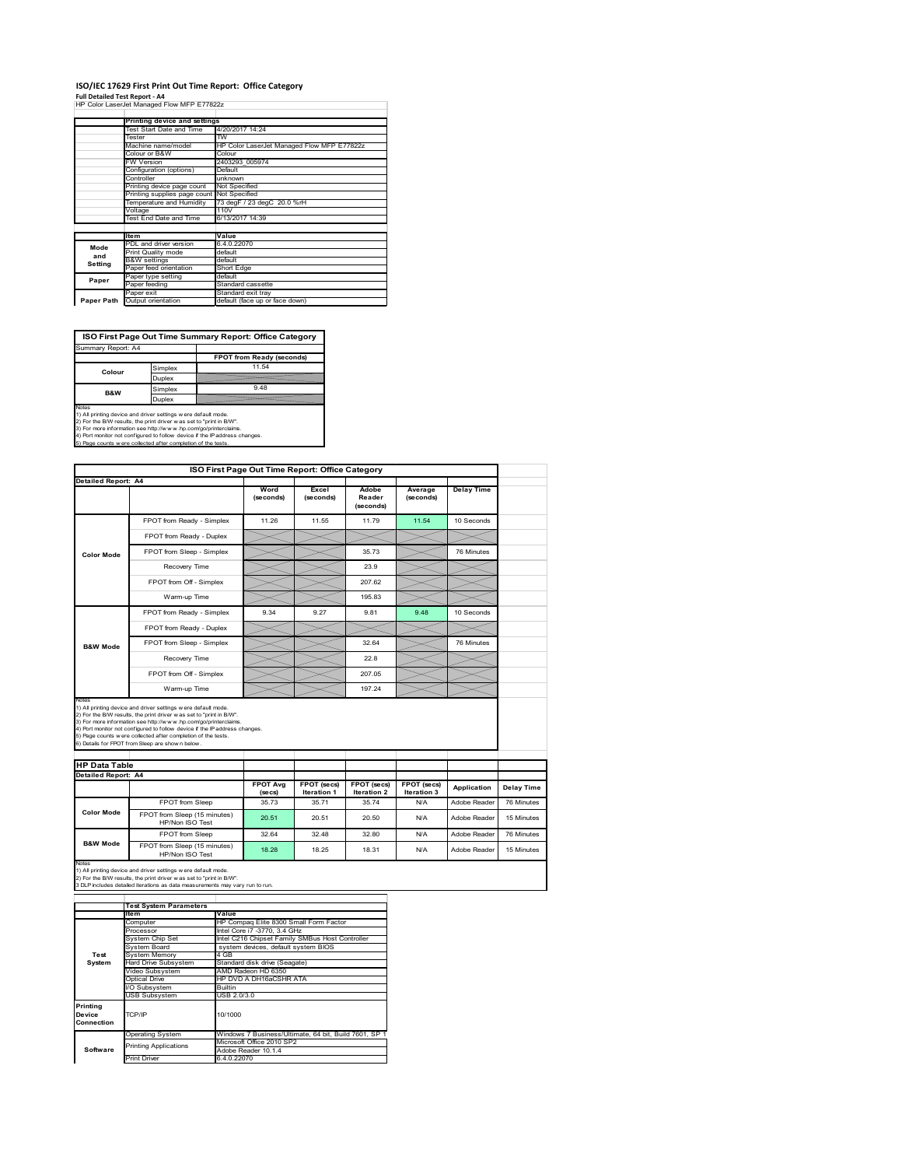# **ISO/IEC 17629 First Print Out Time Report: Office Category**

**Full Detailed Test Report ‐ A4** HP Color LaserJet Managed Flow MFP E77822z

|            | Printing device and settings               |                                            |
|------------|--------------------------------------------|--------------------------------------------|
|            | Test Start Date and Time                   | 4/20/2017 14:24                            |
|            | Tester                                     | TW                                         |
|            | Machine name/model                         | HP Color LaserJet Managed Flow MFP E77822z |
|            | Colour or B&W                              | Colour                                     |
|            | FW Version                                 | 2403293 005974                             |
|            | Configuration (options)                    | Default                                    |
|            | Controller                                 | unknown                                    |
|            | Printing device page count                 | Not Specified                              |
|            | Printing supplies page count Not Specified |                                            |
|            | Temperature and Humidity                   | 73 degF / 23 degC 20.0 %rH                 |
|            | Voltage                                    | 110V                                       |
|            | Test End Date and Time                     | 6/13/2017 14:39                            |
|            |                                            |                                            |
|            | <b>Item</b>                                | Value                                      |
| Mode       | PDL and driver version                     | 6.4.0.22070                                |
| and        | Print Quality mode                         | default                                    |
|            | <b>B&amp;W</b> settings                    | default                                    |
| Setting    | Paper feed orientation                     | Short Edge                                 |
| Paper      | Paper type setting                         | default                                    |
|            | Paper feeding                              | Standard cassette                          |
|            | Paper exit                                 | Standard exit tray                         |
| Paper Path | Output orientation                         | default (face up or face down)             |

**ISO First Page Out Time Summary Report: Office Category**

| Summary Report: A4 |         |                           |
|--------------------|---------|---------------------------|
|                    |         | FPOT from Ready (seconds) |
| Colour             | Simplex | 11.54                     |
|                    | Duplex  |                           |
| <b>B&amp;W</b>     | Simplex | 9.48                      |
|                    | Duplex  |                           |
| $\cdots$           |         |                           |

Notes<br>1) All printing device and driver settings were default mode.<br>2) For the BAV results, the print driver was set to "print in BAV".<br>3) For more information see http://www.hp.com/golprinterclaims.<br>4) Port monitor not co

|                                             |                                                                                                                                                                                                                                                                                                                                                                                                             |                            | ISO First Page Out Time Report: Office Category |                              |                            |                   |
|---------------------------------------------|-------------------------------------------------------------------------------------------------------------------------------------------------------------------------------------------------------------------------------------------------------------------------------------------------------------------------------------------------------------------------------------------------------------|----------------------------|-------------------------------------------------|------------------------------|----------------------------|-------------------|
| Detailed Report: A4                         |                                                                                                                                                                                                                                                                                                                                                                                                             |                            |                                                 |                              |                            |                   |
|                                             |                                                                                                                                                                                                                                                                                                                                                                                                             | Word<br>(seconds)          | Excel<br>(seconds)                              | Adobe<br>Reader<br>(seconds) | Average<br>(seconds)       | <b>Delay Time</b> |
|                                             | FPOT from Ready - Simplex                                                                                                                                                                                                                                                                                                                                                                                   | 11.26                      | 11.55                                           | 11.79                        | 11.54                      | 10 Seconds        |
|                                             | FPOT from Ready - Duplex                                                                                                                                                                                                                                                                                                                                                                                    |                            |                                                 |                              |                            |                   |
| <b>Color Mode</b>                           | FPOT from Sleep - Simplex                                                                                                                                                                                                                                                                                                                                                                                   |                            |                                                 | 35.73                        |                            | 76 Minutes        |
|                                             | Recovery Time                                                                                                                                                                                                                                                                                                                                                                                               |                            |                                                 | 23.9                         |                            |                   |
|                                             | FPOT from Off - Simplex                                                                                                                                                                                                                                                                                                                                                                                     |                            |                                                 | 207.62                       |                            |                   |
|                                             | Warm-up Time                                                                                                                                                                                                                                                                                                                                                                                                |                            |                                                 | 19583                        |                            |                   |
|                                             | FPOT from Ready - Simplex                                                                                                                                                                                                                                                                                                                                                                                   | 9.34                       | 9.27                                            | 9.81                         | 9.48                       | 10 Seconds        |
|                                             | FPOT from Ready - Duplex                                                                                                                                                                                                                                                                                                                                                                                    |                            |                                                 |                              |                            |                   |
| <b>B&amp;W Mode</b>                         | FPOT from Sleep - Simplex                                                                                                                                                                                                                                                                                                                                                                                   |                            |                                                 | 32.64                        |                            | 76 Minutes        |
|                                             | Recovery Time                                                                                                                                                                                                                                                                                                                                                                                               |                            |                                                 | 22.8                         |                            |                   |
|                                             | FPOT from Off - Simplex                                                                                                                                                                                                                                                                                                                                                                                     |                            |                                                 | 207.05                       |                            |                   |
|                                             |                                                                                                                                                                                                                                                                                                                                                                                                             |                            |                                                 |                              |                            |                   |
| Notes                                       | Warm-up Time                                                                                                                                                                                                                                                                                                                                                                                                |                            |                                                 | 197.24                       |                            |                   |
|                                             | 1) All printing device and driver settings w ere default mode.<br>2) For the B/W results, the print driver was set to "print in B/W".<br>3) For more information see http://www.hp.com/go/printerclaims.<br>4) Port monitor not configured to follow device if the IP address changes.<br>5) Page counts w ere collected after completion of the tests.<br>6) Details for FPOT from Sleep are show n below. |                            |                                                 |                              |                            |                   |
|                                             |                                                                                                                                                                                                                                                                                                                                                                                                             |                            |                                                 |                              |                            |                   |
| <b>HP Data Table</b><br>Detailed Report: A4 |                                                                                                                                                                                                                                                                                                                                                                                                             | <b>FPOT Avg</b><br>(se cs) | FPOT (secs)<br>Iteration 1                      | FPOT (secs)<br>Iteration 2   | FPOT (secs)<br>Iteration 3 | Application       |
|                                             | FPOT from Sleep                                                                                                                                                                                                                                                                                                                                                                                             | 35.73                      | 35.71                                           | 35.74                        | N/A                        | Adobe Reader      |
| <b>Color Mode</b>                           | FPOT from Sleep (15 minutes)<br>HP/Non ISO Test                                                                                                                                                                                                                                                                                                                                                             | 20.51                      | 20.51                                           | 20.50                        | N/A                        | Adobe Reader      |
|                                             | FPOT from Sleep                                                                                                                                                                                                                                                                                                                                                                                             | 32.64                      | 32 48                                           | 32 80                        | N/A                        | Adobe Reader      |

1) All printing device and driver settings w ere default mode.<br>2) For the B/W results, the print driver w as set to "print in B/W".<br>3 DLP includes detailed iterations as data measurements may vary run to run.

|                                  | <b>Test System Parameters</b> |                                                       |  |  |  |
|----------------------------------|-------------------------------|-------------------------------------------------------|--|--|--|
|                                  | lte m                         | Value                                                 |  |  |  |
|                                  | Computer                      | HP Compaq Elite 8300 Small Form Factor                |  |  |  |
|                                  | Processor                     | Intel Core i7 -3770, 3.4 GHz                          |  |  |  |
|                                  | System Chip Set               | Intel C216 Chipset Family SMBus Host Controller       |  |  |  |
|                                  | System Board                  | system devices, default system BIOS                   |  |  |  |
| Test                             | <b>System Memory</b>          | 4 GB                                                  |  |  |  |
| System                           | <b>Hard Drive Subsystem</b>   | Standard disk drive (Seagate)                         |  |  |  |
|                                  | Video Subsystem               | AMD Radeon HD 6350                                    |  |  |  |
|                                  | Optical Drive                 | HP DVD A DH16aCSHR ATA                                |  |  |  |
|                                  | I/O Subsystem                 | <b>Builtin</b>                                        |  |  |  |
|                                  | <b>USB Subsystem</b>          | USB 2.0/3.0                                           |  |  |  |
| Printing<br>Device<br>Connection | TCP/IP                        | 10/1000                                               |  |  |  |
|                                  | <b>Operating System</b>       | Windows 7 Business/Ultimate, 64 bit, Build 7601, SP 1 |  |  |  |
|                                  | <b>Printing Applications</b>  | Microsoft Office 2010 SP2                             |  |  |  |
| Software                         |                               | Adobe Reader 10.1.4                                   |  |  |  |
|                                  | <b>Print Driver</b>           | 6.4.0.22070                                           |  |  |  |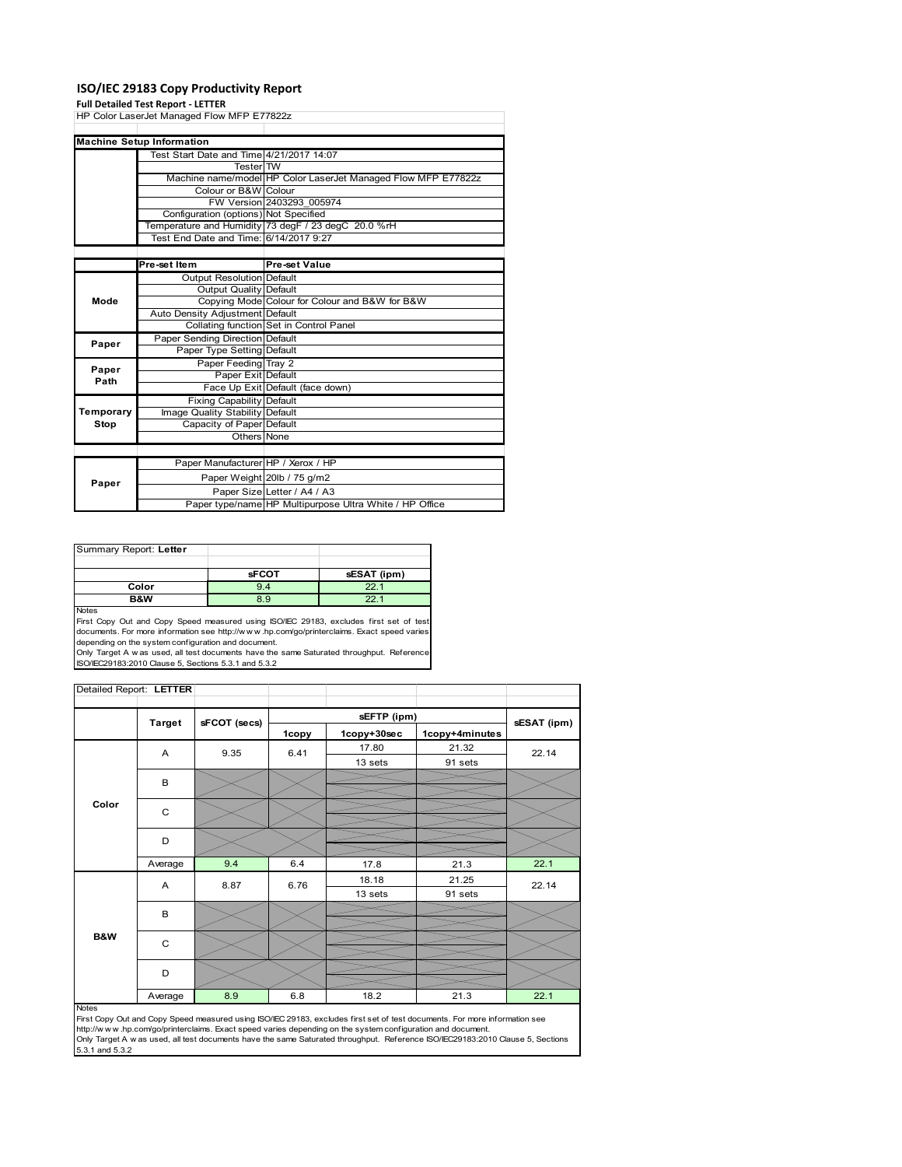## **ISO/IEC 29183 Copy Productivity Report**

#### **Full Detailed Test Report ‐ LETTER**

|               | rull Detailed Test Report - LETTER         |                                                               |
|---------------|--------------------------------------------|---------------------------------------------------------------|
|               | HP Color LaserJet Managed Flow MFP E77822z |                                                               |
|               |                                            |                                                               |
|               | <b>Machine Setup Information</b>           |                                                               |
|               | Test Start Date and Time 4/21/2017 14:07   |                                                               |
|               | <b>Tester</b> TW                           |                                                               |
|               |                                            | Machine name/model HP Color LaserJet Managed Flow MFP E77822z |
|               | Colour or B&W Colour                       |                                                               |
|               |                                            | FW Version 2403293 005974                                     |
|               | Configuration (options) Not Specified      |                                                               |
|               |                                            | Temperature and Humidity 73 degF / 23 degC 20.0 %rH           |
|               | Test End Date and Time: 6/14/2017 9:27     |                                                               |
|               |                                            |                                                               |
|               | Pre-set Item                               | <b>Pre-set Value</b>                                          |
|               | Output Resolution Default                  |                                                               |
|               | Output Quality Default                     |                                                               |
| Mode          |                                            | Copying Mode Colour for Colour and B&W for B&W                |
|               | Auto Density Adjustment Default            |                                                               |
|               |                                            | Collating function Set in Control Panel                       |
| Paper         | Paper Sending Direction Default            |                                                               |
|               | Paper Type Setting Default                 |                                                               |
|               | Paper Feeding Tray 2                       |                                                               |
| Paper<br>Path | Paper Exit Default                         |                                                               |
|               |                                            | Face Up Exit Default (face down)                              |
|               | <b>Fixing Capability Default</b>           |                                                               |
| Temporary     | Image Quality Stability Default            |                                                               |
| Stop          | Capacity of Paper Default                  |                                                               |
|               | Others None                                |                                                               |
|               |                                            |                                                               |
|               | Paper Manufacturer HP / Xerox / HP         |                                                               |
| Paper         |                                            | Paper Weight 20lb / 75 g/m2                                   |
|               |                                            | Paper Size Letter / A4 / A3                                   |
|               |                                            | Paper type/name HP Multipurpose Ultra White / HP Office       |

| Summary Report: Letter |              |             |
|------------------------|--------------|-------------|
|                        |              |             |
|                        | <b>sFCOT</b> | sESAT (ipm) |
| Color                  | 9.4          | 22.1        |
| B&W                    | 8.9          | 221         |
| <b>Nickon</b>          |              |             |

Notes<br>First Copy Out and Copy Speed measured using ISO/IEC 29183, excludes first set of test<br>documents. For more information see http://www.hp.com/go/printerclaims. Exact speed varies<br>depending on the system configuration

|       | Detailed Report: LETTER |              |       |             |                |             |
|-------|-------------------------|--------------|-------|-------------|----------------|-------------|
|       | <b>Target</b>           | sFCOT (secs) |       | sEFTP (ipm) |                | sESAT (ipm) |
|       |                         |              | 1copy | 1copy+30sec | 1copy+4minutes |             |
|       | A                       | 9.35         | 6.41  | 17.80       | 21.32          | 22.14       |
|       |                         |              |       | 13 sets     | 91 sets        |             |
|       | B                       |              |       |             |                |             |
|       |                         |              |       |             |                |             |
| Color | C                       |              |       |             |                |             |
|       |                         |              |       |             |                |             |
|       | D                       |              |       |             |                |             |
|       | Average                 | 9.4          | 6.4   | 17.8        | 21.3           | 22.1        |
|       | A                       | 8.87         | 6.76  | 18.18       | 21.25          | 22.14       |
|       |                         |              |       | 13 sets     | 91 sets        |             |
|       | B                       |              |       |             |                |             |
|       |                         |              |       |             |                |             |
| B&W   | C                       |              |       |             |                |             |
|       |                         |              |       |             |                |             |
|       | D                       |              |       |             |                |             |
|       | Average                 | 8.9          | 6.8   | 18.2        | 21.3           | 22.1        |

First Copy Out and Copy Speed measured using ISO/IEC 29183, excludes first set of test documents. For more information see<br>http://w w w.hp.com/go/printerclaims. Exact speed varies depending on the system configuration and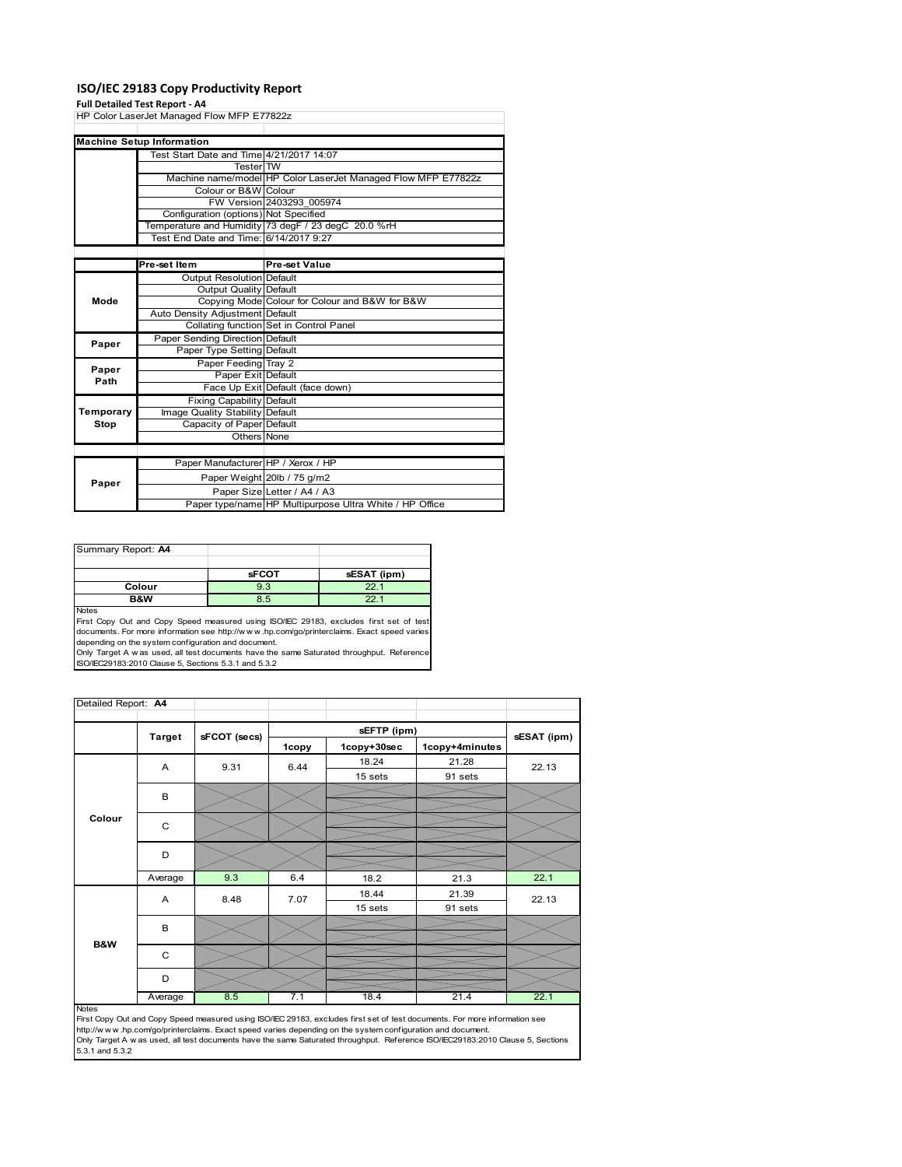## **ISO/IEC 29183 Copy Productivity Report**

#### **Full Detailed Test Report ‐ A4**

|           | run betanea Test Report - A+               |                                                               |
|-----------|--------------------------------------------|---------------------------------------------------------------|
|           | HP Color LaserJet Managed Flow MFP E77822z |                                                               |
|           |                                            |                                                               |
|           | <b>Machine Setup Information</b>           |                                                               |
|           | Test Start Date and Time 4/21/2017 14:07   |                                                               |
|           | <b>Tester</b> TW                           |                                                               |
|           |                                            | Machine name/model HP Color LaserJet Managed Flow MFP E77822z |
|           | Colour or B&W Colour                       |                                                               |
|           |                                            | FW Version 2403293 005974                                     |
|           | Configuration (options) Not Specified      |                                                               |
|           |                                            | Temperature and Humidity 73 degF / 23 degC 20.0 %rH           |
|           | Test End Date and Time: 6/14/2017 9:27     |                                                               |
|           |                                            |                                                               |
|           | Pre-set Item                               | Pre-set Value                                                 |
|           | <b>Output Resolution Default</b>           |                                                               |
|           | Output Quality Default                     |                                                               |
| Mode      |                                            | Copying Mode Colour for Colour and B&W for B&W                |
|           | Auto Density Adjustment Default            |                                                               |
|           |                                            | Collating function Set in Control Panel                       |
| Paper     | Paper Sending Direction Default            |                                                               |
|           | Paper Type Setting Default                 |                                                               |
| Paper     | Paper Feeding Tray 2                       |                                                               |
| Path      | Paper Exit Default                         |                                                               |
|           |                                            | Face Up Exit Default (face down)                              |
|           | <b>Fixing Capability Default</b>           |                                                               |
| Temporary | Image Quality Stability Default            |                                                               |
| Stop      | Capacity of Paper Default                  |                                                               |
|           | Others None                                |                                                               |
|           |                                            |                                                               |
|           | Paper Manufacturer HP / Xerox / HP         |                                                               |
|           |                                            | Paper Weight 20lb / 75 g/m2                                   |
| Paper     |                                            | Paper Size Letter / A4 / A3                                   |
|           |                                            | Paper type/name HP Multipurpose Ultra White / HP Office       |

| Summary Report: A4 |              |                 |
|--------------------|--------------|-----------------|
|                    |              |                 |
|                    | <b>sFCOT</b> | sESAT (ipm)     |
| Colour             | 9.3          | 22.1            |
| B&W                | 8.5          | 22 <sub>1</sub> |
| <b>Noton</b>       |              |                 |

Notes<br>First Copy Out and Copy Speed measured using ISO/IEC 29183, excludes first set of test<br>documents. For more information see http://www.hp.com/go/printerclaims. Exact speed varies<br>depending on the system configuration

| Detailed Report: A4 |               |              |       |             |                |             |
|---------------------|---------------|--------------|-------|-------------|----------------|-------------|
|                     |               |              |       |             |                |             |
|                     | <b>Target</b> | sFCOT (secs) |       | sEFTP (ipm) |                | sESAT (ipm) |
|                     |               |              | 1copy | 1copy+30sec | 1copy+4minutes |             |
|                     | A             | 9.31         | 6.44  | 18.24       | 21.28          | 22.13       |
|                     |               |              |       | 15 sets     | 91 sets        |             |
|                     | В             |              |       |             |                |             |
|                     |               |              |       |             |                |             |
| Colour              | C             |              |       |             |                |             |
|                     |               |              |       |             |                |             |
|                     | D             |              |       |             |                |             |
|                     |               |              |       |             |                |             |
|                     | Average       | 9.3          | 6.4   | 18.2        | 21.3           | 22.1        |
|                     | A             | 8.48         | 7.07  | 18.44       | 21.39          | 22.13       |
|                     |               |              |       | 15 sets     | 91 sets        |             |
|                     | B             |              |       |             |                |             |
| <b>B&amp;W</b>      |               |              |       |             |                |             |
|                     | C             |              |       |             |                |             |
|                     |               |              |       |             |                |             |
|                     | D             |              |       |             |                |             |
|                     | Average       | 8.5          | 7.1   | 18.4        | 21.4           | 22.1        |

Notes<br>First Copy Out and Copy Speed measured using ISO/IEC 29183, excludes first set of test documents. For more information see<br>http://www.hp.com/go/printerclaims. Exact speed varies depending on the system configuration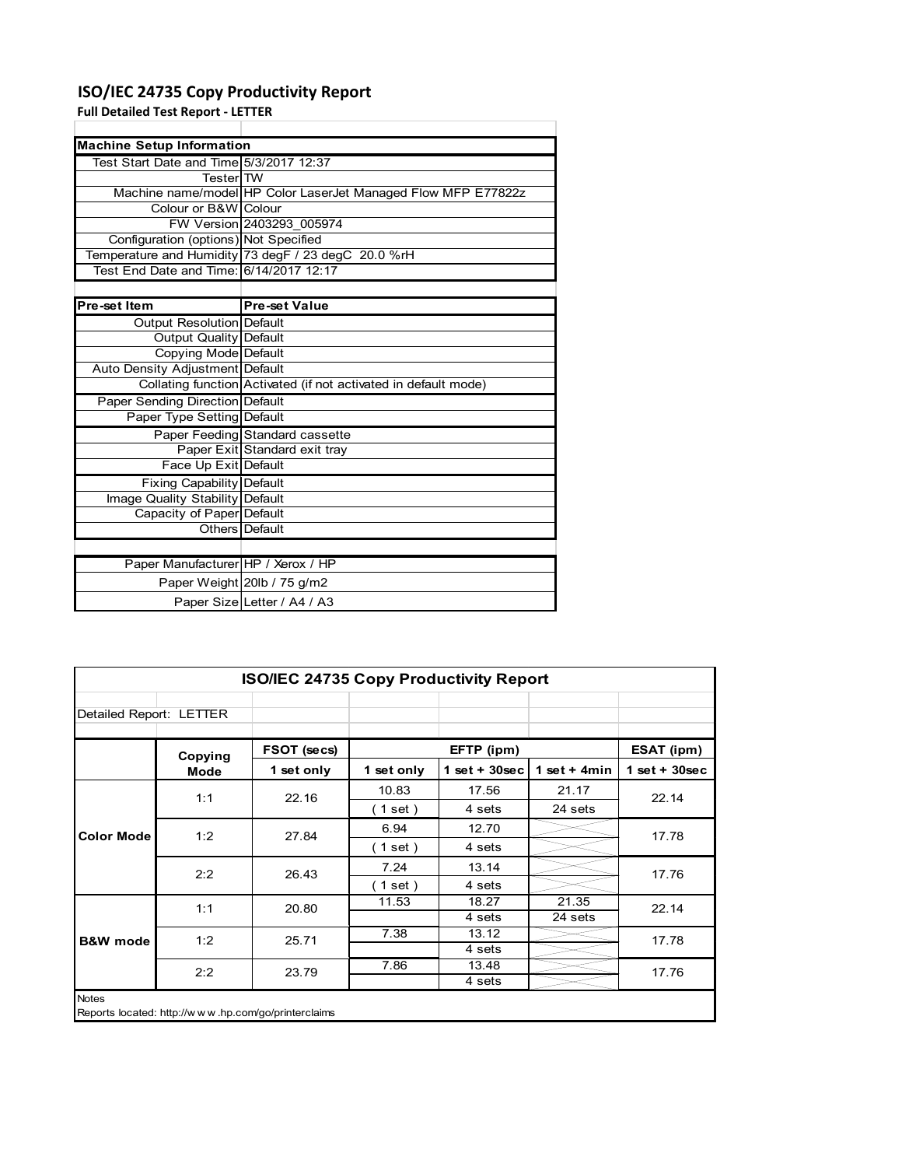# **ISO/IEC 24735 Copy Productivity Report**

**Full Detailed Test Report ‐ LETTER**

| <b>Machine Setup Information</b>        |                                                                 |
|-----------------------------------------|-----------------------------------------------------------------|
| Test Start Date and Time 5/3/2017 12:37 |                                                                 |
| TesterITW                               |                                                                 |
|                                         | Machine name/model HP Color LaserJet Managed Flow MFP E77822z   |
| Colour or B&W Colour                    |                                                                 |
|                                         | FW Version 2403293 005974                                       |
| Configuration (options) Not Specified   |                                                                 |
|                                         | Temperature and Humidity 73 degF / 23 degC 20.0 %rH             |
| Test End Date and Time: 6/14/2017 12:17 |                                                                 |
|                                         |                                                                 |
| Pre-set Item                            | <b>Pre-set Value</b>                                            |
|                                         |                                                                 |
| Output Resolution Default               |                                                                 |
| Output Quality Default                  |                                                                 |
| Copying Mode Default                    |                                                                 |
| Auto Density Adjustment Default         |                                                                 |
|                                         | Collating function Activated (if not activated in default mode) |
| Paper Sending Direction Default         |                                                                 |
| Paper Type Setting Default              |                                                                 |
|                                         | Paper Feeding Standard cassette                                 |

| Output Resolution Default              |                                                                 |
|----------------------------------------|-----------------------------------------------------------------|
| Output Quality Default                 |                                                                 |
| Copying Mode Default                   |                                                                 |
| Auto Density Adjustment Default        |                                                                 |
|                                        | Collating function Activated (if not activated in default mode) |
| <b>Paper Sending Direction Default</b> |                                                                 |
| Paper Type Setting Default             |                                                                 |
|                                        | Paper Feeding Standard cassette                                 |
|                                        | Paper Exit Standard exit tray                                   |
| Face Up Exit Default                   |                                                                 |
| Fixing Capability Default              |                                                                 |
| Image Quality Stability Default        |                                                                 |
| Capacity of Paper Default              |                                                                 |
|                                        | Others Default                                                  |
|                                        |                                                                 |
| Paper Manufacturer   HP / Xerox / HP   |                                                                 |
|                                        | Paper Weight 20lb / 75 g/m2                                     |
|                                        | Paper Size Letter / A4 / A3                                     |

| <b>ISO/IEC 24735 Copy Productivity Report</b>                       |             |             |            |                 |                 |                 |  |  |
|---------------------------------------------------------------------|-------------|-------------|------------|-----------------|-----------------|-----------------|--|--|
| Detailed Report: LETTER                                             |             |             |            |                 |                 |                 |  |  |
|                                                                     | Copying     | FSOT (secs) |            | EFTP (ipm)      |                 | ESAT (ipm)      |  |  |
|                                                                     | <b>Mode</b> | 1 set only  | 1 set only | $1$ set + 30sec | 1 set + 4 $min$ | $1$ set + 30sec |  |  |
|                                                                     | 1:1         | 22.16       | 10.83      | 17.56           | 21.17           | 22.14           |  |  |
|                                                                     |             |             | (1 set)    | 4 sets          | 24 sets         |                 |  |  |
| <b>Color Mode</b>                                                   | 1:2         | 27.84       | 6.94       | 12.70           |                 | 17.78           |  |  |
|                                                                     |             |             | (1 set )   | 4 sets          |                 |                 |  |  |
|                                                                     | 2:2         | 26.43       | 7.24       | 13.14           |                 | 17.76           |  |  |
|                                                                     |             |             | (1 set)    | 4 sets          |                 |                 |  |  |
|                                                                     | 1:1         | 20.80       | 11.53      | 18.27           | 21.35           | 22.14           |  |  |
|                                                                     |             |             |            | 4 sets          | 24 sets         |                 |  |  |
| <b>B&amp;W</b> mode                                                 | 1:2         | 25.71       | 7.38       | 13.12           |                 | 17.78           |  |  |
|                                                                     |             |             |            | 4 sets          |                 |                 |  |  |
|                                                                     | 2:2         | 23.79       | 7.86       | 13.48           |                 | 17.76           |  |  |
|                                                                     |             |             |            | 4 sets          |                 |                 |  |  |
| <b>Notes</b><br>Reports located: http://www.hp.com/go/printerclaims |             |             |            |                 |                 |                 |  |  |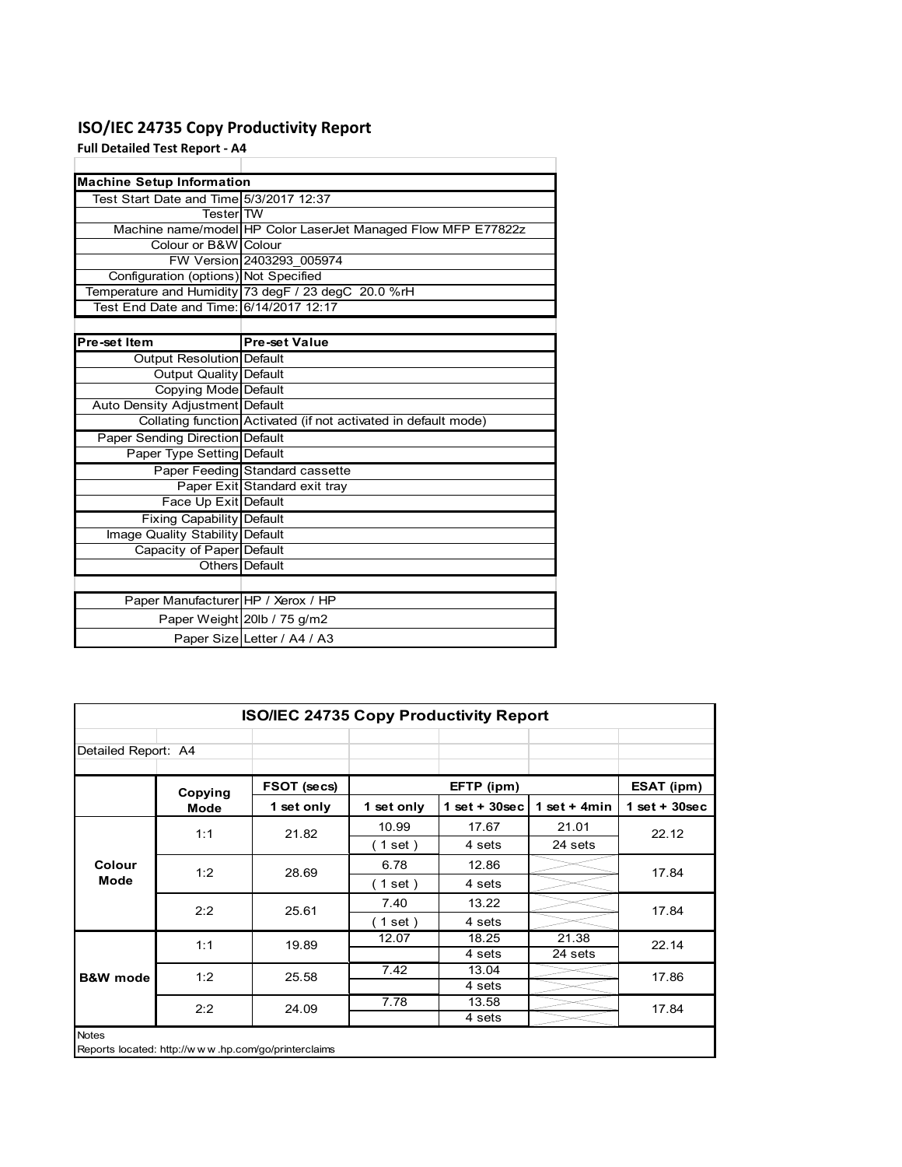# **ISO/IEC 24735 Copy Productivity Report**

**Full Detailed Test Report ‐ A4**

| <b>Machine Setup Information</b>        |                                                                 |
|-----------------------------------------|-----------------------------------------------------------------|
| Test Start Date and Time 5/3/2017 12:37 |                                                                 |
| <b>Tester</b> TW                        |                                                                 |
|                                         | Machine name/model HP Color LaserJet Managed Flow MFP E77822z   |
| Colour or B&W Colour                    |                                                                 |
|                                         | FW Version 2403293 005974                                       |
| Configuration (options) Not Specified   |                                                                 |
|                                         | Temperature and Humidity 73 degF / 23 degC 20.0 %rH             |
| Test End Date and Time: 6/14/2017 12:17 |                                                                 |
|                                         |                                                                 |
| Pre-set Item                            | <b>Pre-set Value</b>                                            |
| Output Resolution Default               |                                                                 |
| <b>Output Quality Default</b>           |                                                                 |
| Copying Mode Default                    |                                                                 |
| Auto Density Adjustment Default         |                                                                 |
|                                         | Collating function Activated (if not activated in default mode) |
| Paper Sending Direction Default         |                                                                 |
| Paper Type Setting Default              |                                                                 |
|                                         | Paper Feeding Standard cassette                                 |
|                                         | Paper Exit Standard exit tray                                   |
| Face Up Exit Default                    |                                                                 |
| <b>Fixing Capability Default</b>        |                                                                 |
| Image Quality Stability Default         |                                                                 |
| Capacity of Paper Default               |                                                                 |
|                                         | Others Default                                                  |
|                                         |                                                                 |
| Paper Manufacturer HP / Xerox / HP      |                                                                 |
|                                         | Paper Weight 20lb / 75 g/m2                                     |
|                                         | Paper Size Letter / A4 / A3                                     |

| <b>ISO/IEC 24735 Copy Productivity Report</b>                       |         |             |            |                 |                 |                 |  |  |
|---------------------------------------------------------------------|---------|-------------|------------|-----------------|-----------------|-----------------|--|--|
| Detailed Report: A4                                                 |         |             |            |                 |                 |                 |  |  |
|                                                                     | Copying | FSOT (secs) |            | EFTP (ipm)      |                 | ESAT (ipm)      |  |  |
|                                                                     | Mode    | 1 set only  | 1 set only | $1$ set + 30sec | 1 set + 4 $min$ | $1$ set + 30sec |  |  |
|                                                                     | 1:1     | 21.82       | 10.99      | 17.67           | 21.01           | 22.12           |  |  |
|                                                                     |         |             | (1 set)    | 4 sets          | 24 sets         |                 |  |  |
| Colour                                                              | 1:2     | 28.69       | 6.78       | 12.86           |                 | 17.84           |  |  |
| Mode                                                                |         |             | (1 set)    | 4 sets          |                 |                 |  |  |
|                                                                     | 2:2     | 25.61       | 7.40       | 13.22           |                 | 17.84           |  |  |
|                                                                     |         |             | (1 set)    | 4 sets          |                 |                 |  |  |
|                                                                     | 1:1     | 19.89       | 12.07      | 18.25           | 21.38           | 22.14           |  |  |
|                                                                     |         |             |            | 4 sets          | 24 sets         |                 |  |  |
| <b>B&amp;W</b> mode                                                 | 1:2     | 25.58       | 7.42       | 13.04           |                 | 17.86           |  |  |
|                                                                     |         |             |            | 4 sets          |                 |                 |  |  |
|                                                                     | 2:2     | 24.09       | 7.78       | 13.58           |                 | 17.84           |  |  |
|                                                                     |         |             |            | 4 sets          |                 |                 |  |  |
| <b>Notes</b><br>Reports located: http://www.hp.com/go/printerclaims |         |             |            |                 |                 |                 |  |  |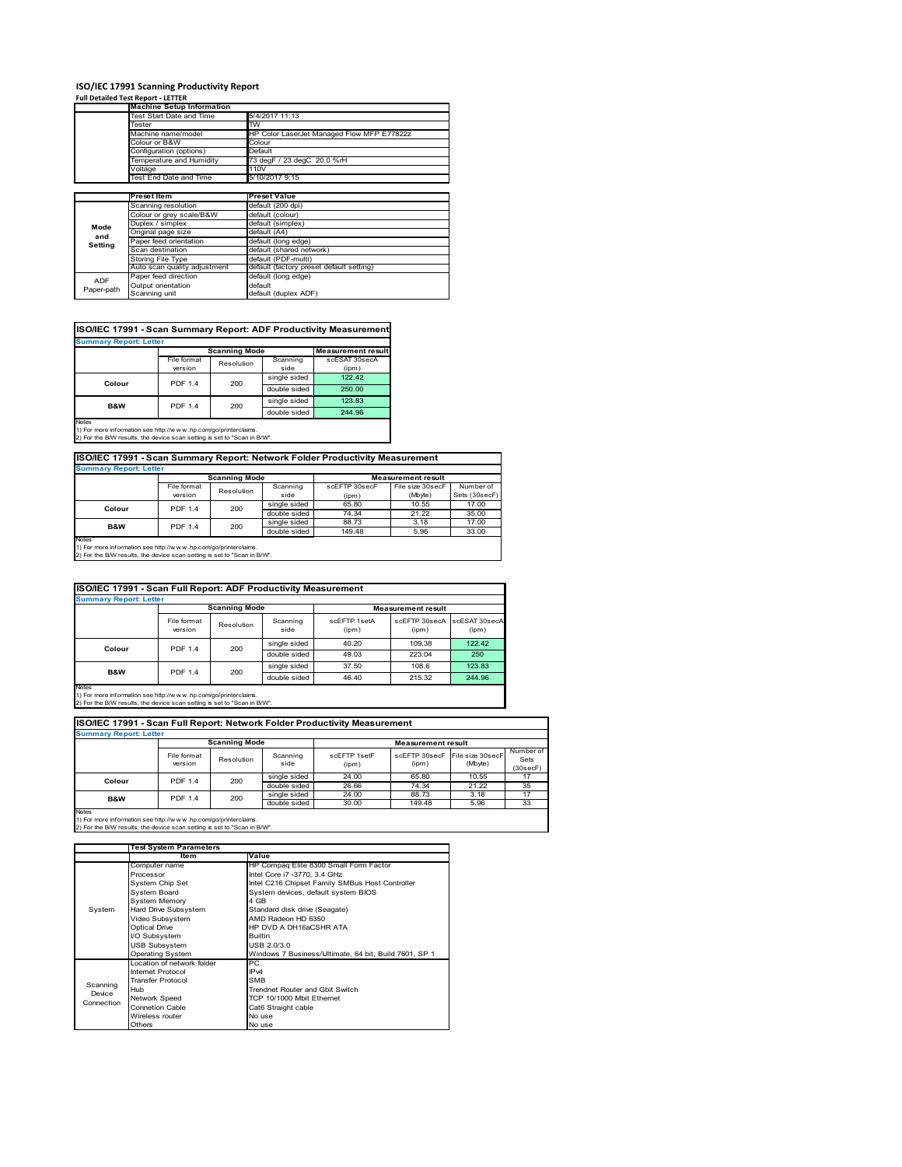# **ISO/IEC 17991 Scanning Productivity Report Full Detailed Test Report ‐ LETTER Machine Setup Information**

|            | <b>Machine Setup Information</b> |                                            |  |  |  |  |
|------------|----------------------------------|--------------------------------------------|--|--|--|--|
|            | <b>Test Start Date and Time</b>  | 5/4/2017 11:13                             |  |  |  |  |
|            | Tester                           | TW                                         |  |  |  |  |
|            | Machine name/model               | HP Color LaserJet Managed Flow MFP E77822z |  |  |  |  |
|            | Colour or B&W                    | Colour                                     |  |  |  |  |
|            | Configuration (options)          | Default                                    |  |  |  |  |
|            | emperature and Humidity          | 73 degF / 23 degC 20.0 %rH                 |  |  |  |  |
|            | Voltage                          | 110V                                       |  |  |  |  |
|            | Test End Date and Time           | 5/10/2017 9:15                             |  |  |  |  |
|            |                                  |                                            |  |  |  |  |
|            | <b>Preset Item</b>               | <b>Preset Value</b>                        |  |  |  |  |
|            | Scanning resolution              | default (200 dpi)                          |  |  |  |  |
|            | Colour or grey scale/B&W         | default (colour)                           |  |  |  |  |
| Mode       | Duplex / simplex                 | default (simplex)                          |  |  |  |  |
|            | Original page size               | default (A4)                               |  |  |  |  |
| and        | Paper feed orientation           | default (long edge)                        |  |  |  |  |
| Setting    | Scan destination                 | default (shared network)                   |  |  |  |  |
|            | Storing File Type                | default (PDF-multi)                        |  |  |  |  |
|            | Auto scan quality adjustment     | default (factory preset default setting)   |  |  |  |  |
|            | Paper feed direction             | default (long edge)                        |  |  |  |  |
| <b>ADF</b> |                                  |                                            |  |  |  |  |
| Paper-path | Output orientation               | default                                    |  |  |  |  |

| ISO/IEC 17991 - Scan Summary Report: ADF Productivity Measurement |                |                      |              |                           |  |  |  |
|-------------------------------------------------------------------|----------------|----------------------|--------------|---------------------------|--|--|--|
| <b>Summary Report: Letter</b>                                     |                |                      |              |                           |  |  |  |
|                                                                   |                | <b>Scanning Mode</b> |              | <b>Measurement result</b> |  |  |  |
|                                                                   | File format    | Resolution           | Scanning     | scESAT 30secA             |  |  |  |
|                                                                   | version        |                      | side         | (ipm)                     |  |  |  |
| Colour                                                            | <b>PDF 1.4</b> | 200                  | single sided | 122.42                    |  |  |  |
|                                                                   |                |                      | double sided | 250.00                    |  |  |  |
| <b>B&amp;W</b>                                                    | <b>PDF 1.4</b> | 200                  | single sided | 123.83                    |  |  |  |
|                                                                   |                |                      | double sided | 244.96                    |  |  |  |
| <b>Notes</b>                                                      |                |                      |              |                           |  |  |  |

Notes 1) For more information see http://w w w .hp.com/go/printerclaims. 2) For the B/W results, the device scan setting is set to "Scan in B/W".

**ISO/IEC 17991 - Scan Summary Report: Network Folder Productivity Measurement**

| <b>Summary Report: Letter</b> |                      |            |              |                           |                  |               |  |
|-------------------------------|----------------------|------------|--------------|---------------------------|------------------|---------------|--|
|                               | <b>Scanning Mode</b> |            |              | <b>Measurement result</b> |                  |               |  |
|                               | File format          | Resolution | Scanning     | scEFTP 30secF             | File size 30secF | Number of     |  |
|                               | version              |            | side         | (ipm)                     | (Mbyte)          | Sets (30secF) |  |
| Colour                        | <b>PDF 1.4</b>       | 200        | single sided | 65.80                     | 10.55            | 17.00         |  |
|                               |                      |            | double sided | 74.34                     | 21.22            | 35.00         |  |
| B&W                           | <b>PDF 1.4</b>       | 200        | single sided | 88.73                     | 3.18             | 17.00         |  |
|                               |                      |            | double sided | 149.48                    | 5.96             | 33.00         |  |
| Notes                         |                      |            |              |                           |                  |               |  |

┓

Notes 1) For more information see http://w w w .hp.com/go/printerclaims. 2) For the B/W results, the device scan setting is set to "Scan in B/W".

| ISO/IEC 17991 - Scan Full Report: ADF Productivity Measurement |                        |                      |                  |                       |                           |                        |  |  |
|----------------------------------------------------------------|------------------------|----------------------|------------------|-----------------------|---------------------------|------------------------|--|--|
| <b>Summary Report: Letter</b>                                  |                        |                      |                  |                       |                           |                        |  |  |
|                                                                |                        | <b>Scanning Mode</b> |                  |                       | <b>Measurement result</b> |                        |  |  |
|                                                                | File format<br>version | Resolution           | Scanning<br>side | scFFTP 1setA<br>(ipm) | scEETP 30secA<br>(ipm)    | scESAT 30secA<br>(ipm) |  |  |
| Colour                                                         | <b>PDF 1.4</b><br>200  |                      | single sided     | 40.20                 | 109.38                    | 122.42                 |  |  |
|                                                                |                        |                      | double sided     | 49.03                 | 223.04                    | 250                    |  |  |
| <b>B&amp;W</b>                                                 | <b>PDF 1.4</b>         | 200                  | single sided     | 37.50                 | 108.6                     | 123.83                 |  |  |
|                                                                |                        |                      | double sided     | 46.40                 | 215.32                    | 244.96                 |  |  |
| <b>Notes</b>                                                   |                        |                      |                  |                       |                           |                        |  |  |

Notes 1) For more information see http://w w w .hp.com/go/printerclaims. 2) For the B/W results, the device scan setting is set to "Scan in B/W".

| ISO/IEC 17991 - Scan Full Report: Network Folder Productivity Measurement |                        |                      |                  |                           |                        |                             |                               |  |
|---------------------------------------------------------------------------|------------------------|----------------------|------------------|---------------------------|------------------------|-----------------------------|-------------------------------|--|
| <b>Summary Report: Letter</b>                                             |                        |                      |                  |                           |                        |                             |                               |  |
|                                                                           |                        | <b>Scanning Mode</b> |                  | <b>Measurement result</b> |                        |                             |                               |  |
|                                                                           | File format<br>version | Resolution           | Scanning<br>side | scFFTP 1setF<br>(ipm)     | scEFTP 30secF<br>(ipm) | File size 30secF<br>(Mbyte) | Number of<br>Sets<br>(30secF) |  |
| Colour                                                                    | <b>PDF 1.4</b>         | 200                  | single sided     | 24.00                     | 65.80                  | 10.55                       | 17                            |  |
|                                                                           |                        |                      | double sided     | 26.66                     | 74.34                  | 21.22                       | 35                            |  |
| <b>B&amp;W</b>                                                            | <b>PDF 1.4</b>         | 200                  | single sided     | 24.00                     | 88.73                  | 3.18                        | 17                            |  |
|                                                                           |                        |                      | double sided     | 30.00                     | 149.48                 | 5.96                        | 33                            |  |
| <b>Notes</b>                                                              |                        |                      |                  |                           |                        |                             |                               |  |

|            | <b>Test System Parameters</b> |                                                       |  |  |  |
|------------|-------------------------------|-------------------------------------------------------|--|--|--|
|            | Item                          | Value                                                 |  |  |  |
|            | Computer name                 | HP Compaq Elite 8300 Small Form Factor                |  |  |  |
|            | Processor                     | Intel Core i7 -3770, 3.4 GHz                          |  |  |  |
|            | System Chip Set               | Intel C216 Chipset Family SMBus Host Controller       |  |  |  |
|            | <b>System Board</b>           | System devices, default system BIOS                   |  |  |  |
|            | <b>System Memory</b>          | 4 GB                                                  |  |  |  |
| System     | Hard Drive Subsystem          | Standard disk drive (Seagate)                         |  |  |  |
|            | Video Subsystem               | AMD Radeon HD 6350                                    |  |  |  |
|            | Optical Drive                 | HP DVD A DH16aCSHR ATA                                |  |  |  |
|            | I/O Subsystem                 | <b>Builtin</b>                                        |  |  |  |
|            | <b>USB Subsystem</b>          | USB 2.0/3.0                                           |  |  |  |
|            | Operating System              | Windows 7 Business/Ultimate, 64 bit, Build 7601, SP 1 |  |  |  |
|            | I ocation of network folder   | PC                                                    |  |  |  |
|            | Internet Protocol             | IP <sub>v4</sub>                                      |  |  |  |
| Scanning   | <b>Transfer Protocol</b>      | <b>SMB</b>                                            |  |  |  |
| Device     | Hub                           | Trendnet Router and Gbit Switch                       |  |  |  |
| Connection | Network Speed                 | TCP 10/1000 Mbit Ethernet                             |  |  |  |
|            | <b>Connetion Cable</b>        | Cat6 Straight cable                                   |  |  |  |
|            | Wireless router               | No use                                                |  |  |  |
|            | Others                        | No use                                                |  |  |  |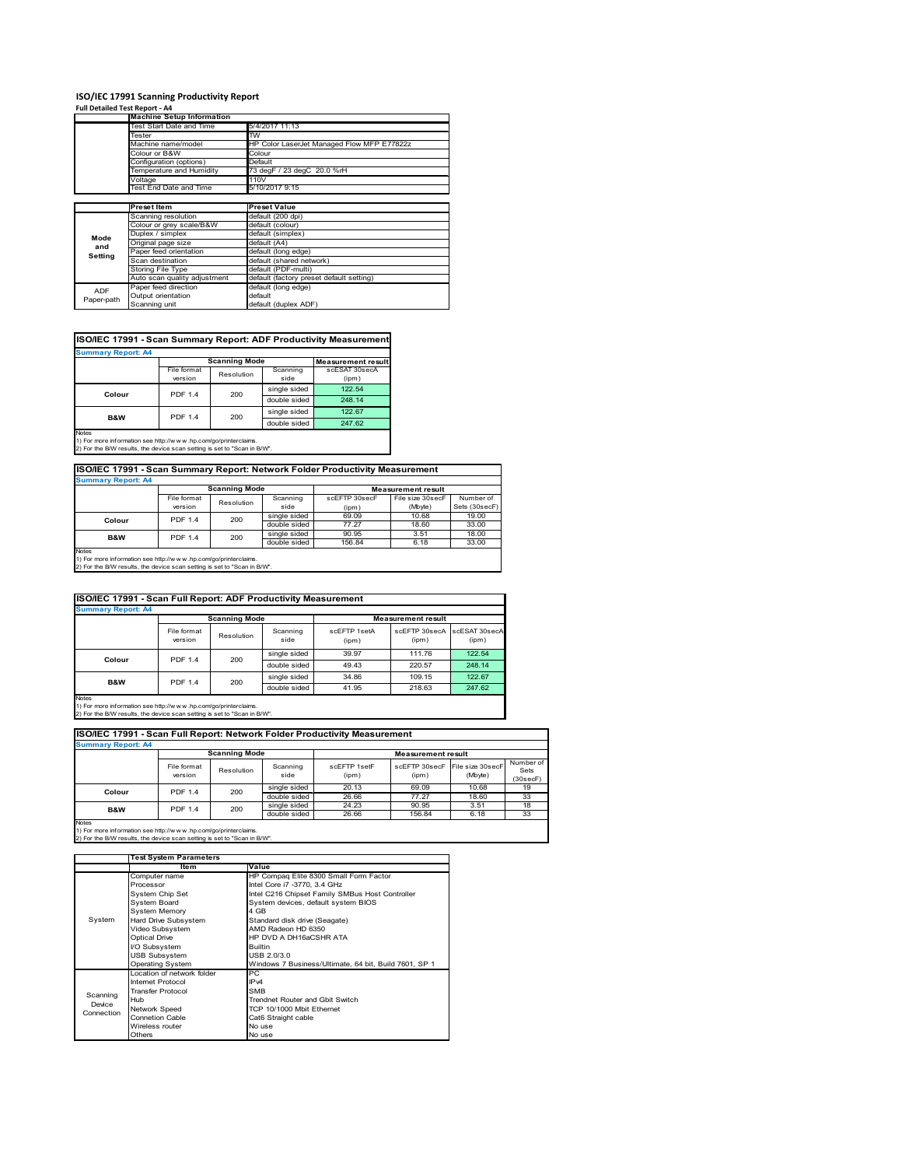### **ISO/IEC 17991 Scanning Productivity Report**

| Full Detailed Test Report - A4 |                                  |                                            |  |  |  |
|--------------------------------|----------------------------------|--------------------------------------------|--|--|--|
|                                | <b>Machine Setup Information</b> |                                            |  |  |  |
|                                | Test Start Date and Time         | 5/4/2017 11:13                             |  |  |  |
|                                | Tester                           | <b>TW</b>                                  |  |  |  |
|                                | Machine name/model               | HP Color LaserJet Managed Flow MFP E77822z |  |  |  |
|                                | Colour or B&W                    | Colour                                     |  |  |  |
|                                | Configuration (options)          | Default                                    |  |  |  |
|                                | Temperature and Humidity         | 73 degF / 23 degC 20.0 %rH                 |  |  |  |
|                                | Voltage                          | 110V                                       |  |  |  |
|                                | Test End Date and Time           | 5/10/2017 9:15                             |  |  |  |
|                                |                                  |                                            |  |  |  |
|                                | <b>Preset Item</b>               | <b>Preset Value</b>                        |  |  |  |
|                                | Scanning resolution              | default (200 dpi)                          |  |  |  |
|                                | Colour or grey scale/B&W         | default (colour)                           |  |  |  |
| Mode                           | Duplex / simplex                 | default (simplex)                          |  |  |  |
| and                            | Original page size               | default (A4)                               |  |  |  |
| Setting                        | Paper feed orientation           | default (long edge)                        |  |  |  |
|                                | Scan destination                 | default (shared network)                   |  |  |  |
|                                | Storing File Type                | default (PDF-multi)                        |  |  |  |
|                                | Auto scan quality adjustment     | default (factory preset default setting)   |  |  |  |
| <b>ADF</b>                     | Paper feed direction             | default (long edge)                        |  |  |  |
| Paper-path                     | Output orientation               | default                                    |  |  |  |
|                                | Scanning unit                    | default (duplex ADF)                       |  |  |  |

## **ISO/IEC 17991 - Scan Summary Report: ADF Productivity Measurement**

| <b>Summary Report: A4</b> |                        |                      |                  |                           |  |  |  |
|---------------------------|------------------------|----------------------|------------------|---------------------------|--|--|--|
|                           |                        | <b>Scanning Mode</b> |                  | <b>Measurement result</b> |  |  |  |
|                           | File format<br>version | Resolution           | Scanning<br>side | scESAT 30secA<br>(ipm)    |  |  |  |
| Colour                    | <b>PDF 1.4</b>         | 200                  | single sided     | 122.54                    |  |  |  |
|                           |                        |                      | double sided     | 248.14                    |  |  |  |
| <b>B&amp;W</b>            | <b>PDF 1.4</b>         | 200                  | single sided     | 122.67                    |  |  |  |
|                           |                        |                      | double sided     | 247.62                    |  |  |  |
| <b>Notes</b>              |                        |                      |                  |                           |  |  |  |

1) For more information see http://w w w .hp.com/go/printerclaims. 2) For the B/W results, the device scan setting is set to "Scan in B/W".

## **ISO/IEC 17991 - Scan Summary Report: Network Folder Productivity Measurement Summary Report: A4**

| <b>BUILDIARY INCLUIL AT</b> |                      |            |              |                           |                  |               |  |
|-----------------------------|----------------------|------------|--------------|---------------------------|------------------|---------------|--|
|                             | <b>Scanning Mode</b> |            |              | <b>Measurement result</b> |                  |               |  |
|                             | File format          | Resolution | Scanning     | scEETP 30secE             | File size 30secF | Number of     |  |
|                             | version              |            | side         | (ipm)                     | (Mbyte)          | Sets (30secF) |  |
| Colour                      | <b>PDF 1.4</b>       | 200        | single sided | 69.09                     | 10.68            | 19.00         |  |
|                             |                      |            | double sided | 77.27                     | 18.60            | 33.00         |  |
| <b>B&amp;W</b>              | <b>PDF 1.4</b>       | 200        | single sided | 90.95                     | 3.51             | 18.00         |  |
|                             |                      |            | double sided | 156.84                    | 6.18             | 33.00         |  |
| <b>Notes</b>                |                      |            |              |                           |                  |               |  |

Notes 1) For more information see http://w w w .hp.com/go/printerclaims. 2) For the B/W results, the device scan setting is set to "Scan in B/W".

| ISO/IEC 17991 - Scan Full Report: ADF Productivity Measurement |                        |                      |                  |                       |                           |                        |  |
|----------------------------------------------------------------|------------------------|----------------------|------------------|-----------------------|---------------------------|------------------------|--|
| <b>Summary Report: A4</b>                                      |                        |                      |                  |                       |                           |                        |  |
|                                                                |                        | <b>Scanning Mode</b> |                  |                       | <b>Measurement result</b> |                        |  |
|                                                                | File format<br>version | Resolution           | Scanning<br>side | scFFTP 1setA<br>(ipm) | scEFTP 30secA<br>(ipm)    | scESAT 30secA<br>(ipm) |  |
| <b>PDF 1.4</b><br>Colour                                       |                        | 200                  | single sided     | 39.97                 | 111.76                    | 122.54                 |  |
|                                                                |                        |                      | double sided     | 49.43                 | 220.57                    | 248.14                 |  |
| <b>B&amp;W</b>                                                 | <b>PDF 1.4</b>         | 200                  | single sided     | 34.86                 | 109.15                    | 122.67                 |  |
|                                                                |                        |                      | double sided     | 41.95                 | 218.63                    | 247.62                 |  |
| Notes                                                          |                        |                      |                  |                       |                           |                        |  |

Notes 1) For more information see http://w w w .hp.com/go/printerclaims. 2) For the B/W results, the device scan setting is set to "Scan in B/W".

| ISO/IEC 17991 - Scan Full Report: Network Folder Productivity Measurement |                                 |            |                  |                       |                                         |         |                               |
|---------------------------------------------------------------------------|---------------------------------|------------|------------------|-----------------------|-----------------------------------------|---------|-------------------------------|
| <b>Summary Report: A4</b>                                                 |                                 |            |                  |                       |                                         |         |                               |
| <b>Scanning Mode</b><br><b>Measurement result</b>                         |                                 |            |                  |                       |                                         |         |                               |
|                                                                           | File format<br>version          | Resolution | Scanning<br>side | scFFTP 1setF<br>(ipm) | scEFTP 30secF File size 30secF<br>(ipm) | (Mbyte) | Number of<br>Sets<br>(30secF) |
|                                                                           | 200<br><b>PDF 1.4</b><br>Colour |            | single sided     | 20.13                 | 69.09                                   | 10.68   | 19                            |
|                                                                           |                                 |            | double sided     | 26.66                 | 77.27                                   | 18.60   | 33                            |
| <b>B&amp;W</b>                                                            | <b>PDF 1.4</b>                  | 200        | single sided     | 24.23                 | 90.95                                   | 3.51    | 18                            |
|                                                                           |                                 |            | double sided     | 26.66                 | 156.84                                  | 6.18    | 33                            |
| <b>Notes</b>                                                              |                                 |            |                  |                       |                                         |         |                               |

|            | <b>Test System Parameters</b> |                                                       |  |  |
|------------|-------------------------------|-------------------------------------------------------|--|--|
|            | ltem                          | Value                                                 |  |  |
|            | Computer name                 | HP Compaq Elite 8300 Small Form Factor                |  |  |
|            | Processor                     | Intel Core i7 -3770, 3.4 GHz                          |  |  |
|            | System Chip Set               | Intel C216 Chipset Family SMBus Host Controller       |  |  |
|            | System Board                  | System devices, default system BIOS                   |  |  |
|            | <b>System Memory</b>          | 4 GB                                                  |  |  |
| System     | Hard Drive Subsystem          | Standard disk drive (Seagate)                         |  |  |
|            | Video Subsystem               | AMD Radeon HD 6350                                    |  |  |
|            | <b>Optical Drive</b>          | HP DVD A DH16aCSHR ATA                                |  |  |
|            | I/O Subsystem                 | <b>Builtin</b>                                        |  |  |
|            | <b>USB Subsystem</b>          | USB 2.0/3.0                                           |  |  |
|            | <b>Operating System</b>       | Windows 7 Business/Ultimate, 64 bit, Build 7601, SP 1 |  |  |
|            | I ocation of network folder   | РC                                                    |  |  |
|            | <b>Internet Protocol</b>      | IP <sub>v4</sub>                                      |  |  |
| Scanning   | <b>Transfer Protocol</b>      | <b>SMB</b>                                            |  |  |
| Device     | Hub                           | Trendnet Router and Gbit Switch                       |  |  |
| Connection | Network Speed                 | TCP 10/1000 Mbit Ethernet                             |  |  |
|            | <b>Connetion Cable</b>        | Cat6 Straight cable                                   |  |  |
|            | Wireless router               | No use                                                |  |  |
|            | Others                        | No use                                                |  |  |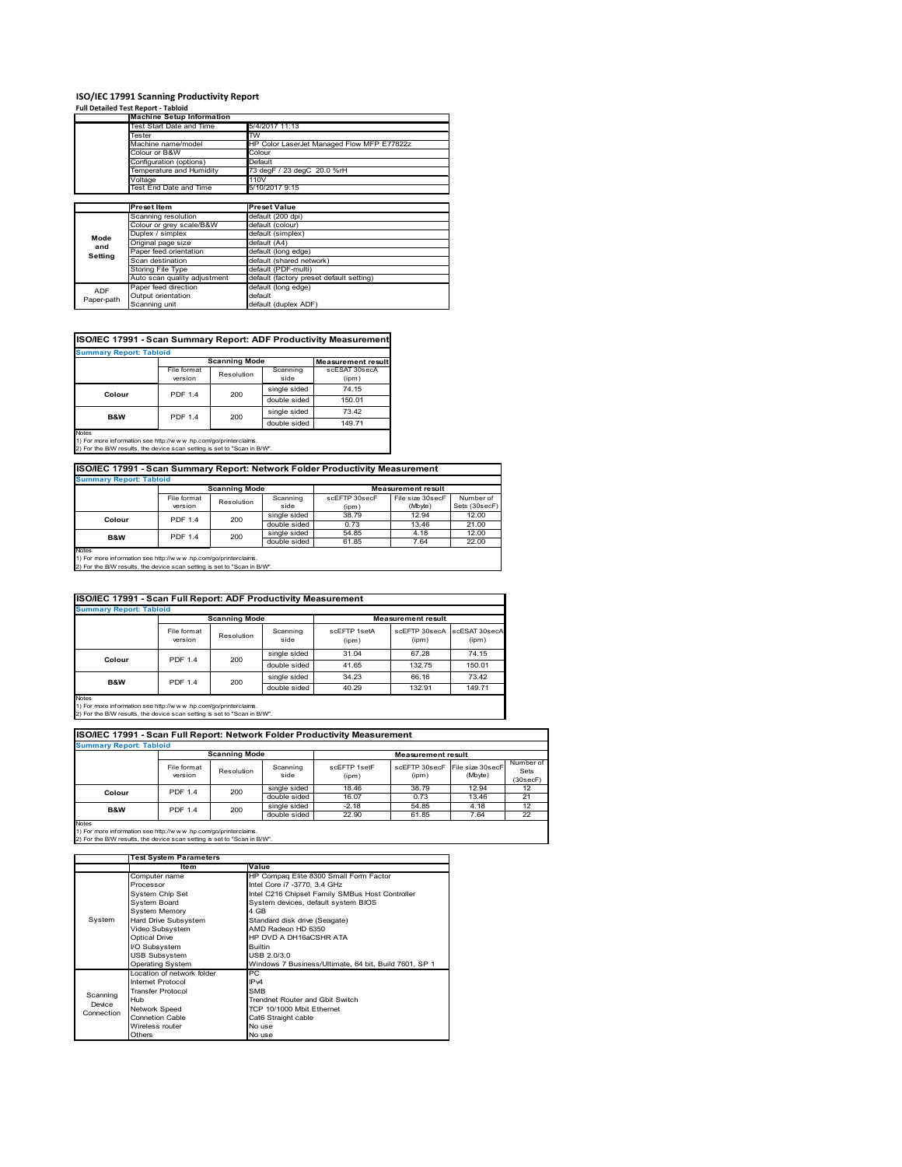### **ISO/IEC 17991 Scanning Productivity Report**

| Full Detailed Test Report - Tabloid |
|-------------------------------------|
|-------------------------------------|

|            | <b>Machine Setup Information</b> |                                            |  |  |
|------------|----------------------------------|--------------------------------------------|--|--|
|            | Test Start Date and Time         | 5/4/2017 11:13                             |  |  |
|            | Tester                           | TW                                         |  |  |
|            | Machine name/model               | HP Color LaserJet Managed Flow MFP E77822z |  |  |
|            | Colour or B&W                    | Colour                                     |  |  |
|            | Configuration (options)          | Default                                    |  |  |
|            | Temperature and Humidity         | 73 degF / 23 degC 20.0 %rH                 |  |  |
|            | Voltage                          | 110V                                       |  |  |
|            | Test End Date and Time           | 5/10/2017 9:15                             |  |  |
|            |                                  |                                            |  |  |
|            | <b>Preset Item</b>               | <b>Preset Value</b>                        |  |  |
|            | Scanning resolution              | default (200 dpi)                          |  |  |
|            | Colour or grey scale/B&W         | default (colour)                           |  |  |
| Mode       | Duplex / simplex                 | default (simplex)                          |  |  |
| and        | Original page size               | default (A4)                               |  |  |
| Setting    | Paper feed orientation           | default (long edge)                        |  |  |
|            | Scan destination                 | default (shared network)                   |  |  |
|            | <b>Storing File Type</b>         | default (PDF-multi)                        |  |  |
|            | Auto scan quality adjustment     | default (factory preset default setting)   |  |  |
| <b>ADF</b> | Paper feed direction             | default (long edge)                        |  |  |
| Paper-path | Output orientation               | default                                    |  |  |
|            | Scanning unit                    | default (duplex ADF)                       |  |  |

## **ISO/IEC 17991 - Scan Summary Report: ADF Productivity Measurement**

| <b>Summary Report: Tabloid</b> |                        |                      |                  |                           |  |  |
|--------------------------------|------------------------|----------------------|------------------|---------------------------|--|--|
|                                |                        | <b>Scanning Mode</b> |                  | <b>Measurement result</b> |  |  |
|                                | File format<br>version | Resolution           | Scanning<br>side | scESAT 30secA<br>(ipm)    |  |  |
| Colour                         | <b>PDF 1.4</b>         | 200                  | single sided     | 74.15                     |  |  |
|                                |                        |                      | double sided     | 150.01                    |  |  |
| <b>B&amp;W</b>                 | <b>PDF 1.4</b>         | 200                  | single sided     | 73.42                     |  |  |
|                                |                        |                      | double sided     | 149.71                    |  |  |
| <b>Notes</b>                   |                        |                      |                  |                           |  |  |

Notes 1) For more information see http://w w w .hp.com/go/printerclaims. 2) For the B/W results, the device scan setting is set to "Scan in B/W".

## **ISO/IEC 17991 - Scan Summary Report: Network Folder Productivity Measurement**

| <b>Summary Report: Tabloid</b> |                      |            |              |                           |                  |                         |  |
|--------------------------------|----------------------|------------|--------------|---------------------------|------------------|-------------------------|--|
|                                | <b>Scanning Mode</b> |            |              | <b>Measurement result</b> |                  |                         |  |
|                                | File format          | Resolution | Scanning     | scEFTP 30secF             | File size 30secF | Number of               |  |
|                                | version              |            | side         | (ipm)                     | (Mbyte)          | Sets (30secF)           |  |
| Colour                         | <b>PDF 1.4</b>       | 200        | single sided | 38.79                     | 12.94            | 12.00                   |  |
|                                |                      |            | double sided | 0.73                      | 13.46            | 21.00<br>12.00<br>22.00 |  |
| <b>B&amp;W</b>                 | <b>PDF 1.4</b>       | 200        | single sided | 54.85                     | 4.18             |                         |  |
|                                |                      |            | double sided | 61.85<br>7.64             |                  |                         |  |
| <b>Notes</b>                   |                      |            |              |                           |                  |                         |  |

Notes 1) For more information see http://w w w .hp.com/go/printerclaims. 2) For the B/W results, the device scan setting is set to "Scan in B/W".

| ISO/IEC 17991 - Scan Full Report: ADF Productivity Measurement |                                |                      |                  |                       |                                      |        |  |  |
|----------------------------------------------------------------|--------------------------------|----------------------|------------------|-----------------------|--------------------------------------|--------|--|--|
|                                                                | <b>Summary Report: Tabloid</b> |                      |                  |                       |                                      |        |  |  |
|                                                                |                                | <b>Scanning Mode</b> |                  |                       | <b>Measurement result</b>            |        |  |  |
|                                                                | File format<br>version         | Resolution           | Scanning<br>side | scFFTP 1setA<br>(ipm) | scEFTP 30secA scESAT 30secA<br>(ipm) | (ipm)  |  |  |
| <b>PDF 1.4</b><br>Colour                                       |                                | 200                  | single sided     | 31.04                 | 67.28                                | 74.15  |  |  |
|                                                                |                                |                      | double sided     | 41.65                 | 132.75                               | 150.01 |  |  |
| <b>B&amp;W</b>                                                 | <b>PDF 1.4</b>                 | 200                  | single sided     | 34.23                 | 66.16                                | 73.42  |  |  |
|                                                                |                                |                      | double sided     | 40.29                 | 132.91                               | 149.71 |  |  |
| <b>Notes</b>                                                   |                                |                      |                  |                       |                                      |        |  |  |

Notes 1) For more information see http://w w w .hp.com/go/printerclaims. 2) For the B/W results, the device scan setting is set to "Scan in B/W".

| ISO/IEC 17991 - Scan Full Report: Network Folder Productivity Measurement |                                                   |            |                  |                       |                                         |         |                               |
|---------------------------------------------------------------------------|---------------------------------------------------|------------|------------------|-----------------------|-----------------------------------------|---------|-------------------------------|
| <b>Summary Report: Tabloid</b>                                            |                                                   |            |                  |                       |                                         |         |                               |
|                                                                           | <b>Scanning Mode</b><br><b>Measurement result</b> |            |                  |                       |                                         |         |                               |
|                                                                           | File format<br>version                            | Resolution | Scanning<br>side | scFFTP 1setF<br>(ipm) | scEFTP 30secF File size 30secF<br>(ipm) | (Mbyte) | Number of<br>Sets<br>(30secF) |
| Colour                                                                    | <b>PDF 1.4</b>                                    | 200        | single sided     | 18.46                 | 38.79                                   | 12.94   | 12                            |
|                                                                           |                                                   |            | double sided     | 16.07                 | 0.73                                    | 13.46   | 21                            |
| <b>B&amp;W</b>                                                            | <b>PDF 1.4</b>                                    | 200        | single sided     | $-2.18$               | 54.85                                   | 4.18    | 12                            |
|                                                                           |                                                   |            | double sided     | 22.90                 | 61.85                                   | 7.64    | 22                            |
| <b>Notes</b>                                                              |                                                   |            |                  |                       |                                         |         |                               |

|            | <b>Test System Parameters</b> |                                                       |  |  |
|------------|-------------------------------|-------------------------------------------------------|--|--|
|            | Item                          | Value                                                 |  |  |
|            | Computer name                 | HP Compaq Elite 8300 Small Form Factor                |  |  |
|            | Processor                     | Intel Core i7 -3770, 3.4 GHz                          |  |  |
|            | System Chip Set               | Intel C216 Chipset Family SMBus Host Controller       |  |  |
|            | <b>System Board</b>           | System devices, default system BIOS                   |  |  |
|            | <b>System Memory</b>          | 4 GB                                                  |  |  |
| System     | Hard Drive Subsystem          | Standard disk drive (Seagate)                         |  |  |
|            | Video Subsystem               | AMD Radeon HD 6350                                    |  |  |
|            | <b>Optical Drive</b>          | HP DVD A DH16aCSHR ATA                                |  |  |
|            | I/O Subsystem                 | <b>Builtin</b>                                        |  |  |
|            | <b>USB Subsystem</b>          | USB 2.0/3.0                                           |  |  |
|            | <b>Operating System</b>       | Windows 7 Business/Ultimate, 64 bit, Build 7601, SP 1 |  |  |
|            | Location of network folder    | РC                                                    |  |  |
|            | Internet Protocol             | IP <sub>v4</sub>                                      |  |  |
| Scanning   | <b>Transfer Protocol</b>      | <b>SMB</b>                                            |  |  |
| Device     | Hub                           | Trendnet Router and Gbit Switch                       |  |  |
| Connection | Network Speed                 | TCP 10/1000 Mbit Ethernet                             |  |  |
|            | <b>Connetion Cable</b>        | Cat6 Straight cable                                   |  |  |
|            | Wireless router               | No use                                                |  |  |
|            | Others                        | No use                                                |  |  |